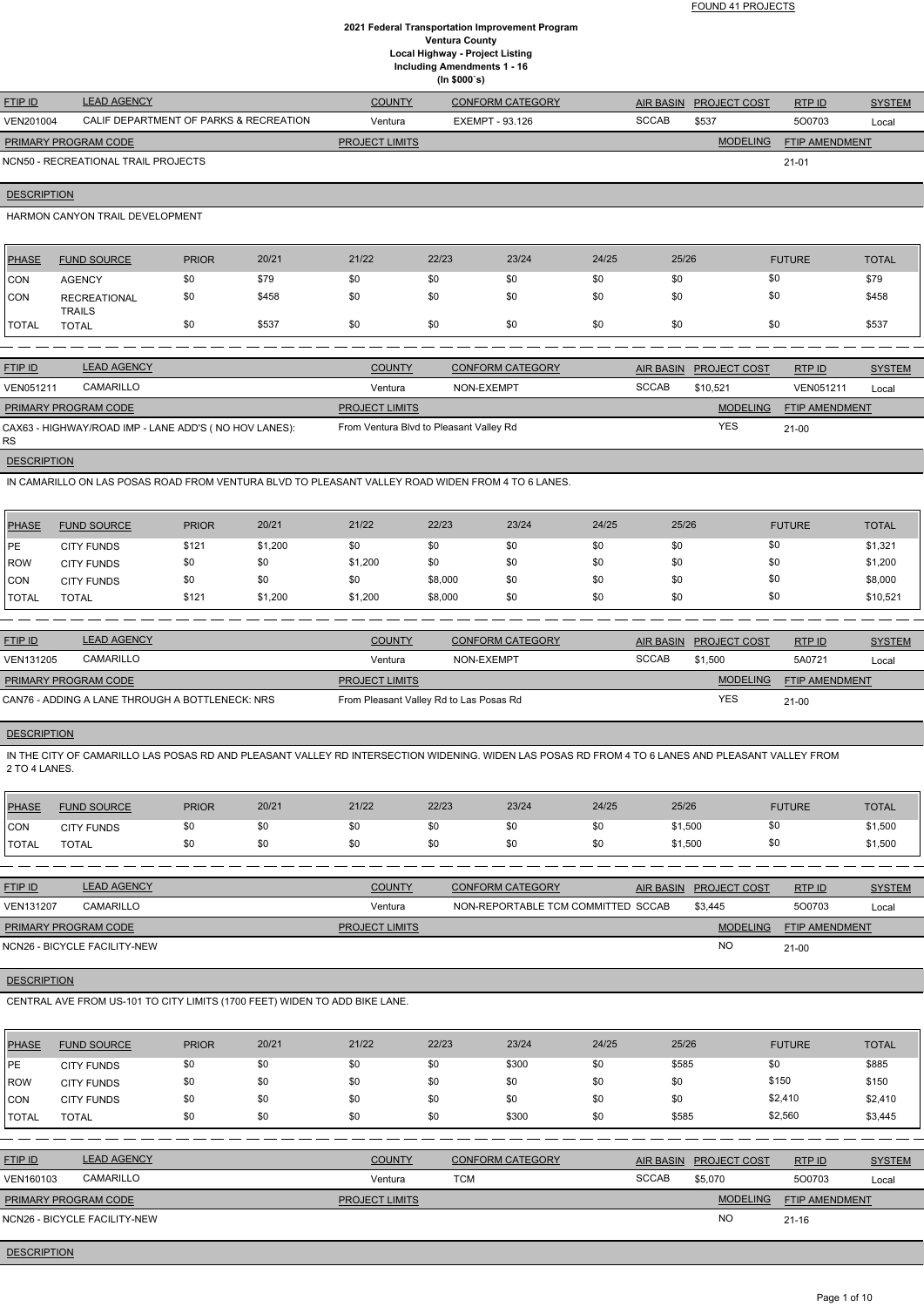FOUND 41 PROJECTS

# **2021 Federal Transportation Improvement Program Ventura County Local Highway - Project Listing Including Amendments 1 - 16 (In \$000`s)**

| <b>FTIP ID</b>              | <b>LEAD AGENCY</b>                     | <b>COUNTY</b>         | CONFORM CATEGORY | AIR BASIN    | <b>PROJECT COST</b> | RTPID          | <b>SYSTEM</b> |
|-----------------------------|----------------------------------------|-----------------------|------------------|--------------|---------------------|----------------|---------------|
| VEN201004                   | CALIF DEPARTMENT OF PARKS & RECREATION | Ventura               | EXEMPT - 93.126  | <b>SCCAB</b> | \$537               | 500703         | Local         |
| <b>PRIMARY PROGRAM CODE</b> |                                        | <b>PROJECT LIMITS</b> |                  |              | <b>MODELING</b>     | FTIP AMENDMENT |               |
|                             | NCN50 - RECREATIONAL TRAIL PROJECTS    |                       |                  |              |                     | $21 - 01$      |               |

**DESCRIPTION** 

HARMON CANYON TRAIL DEVELOPMENT

| PHASE        | <b>FUND SOURCE</b>                   | <b>PRIOR</b> | 20/21 | 21/22 | 22/23 | 23/24 | 24/25 | 25/26 | <b>FUTURE</b> | <b>TOTAL</b> |
|--------------|--------------------------------------|--------------|-------|-------|-------|-------|-------|-------|---------------|--------------|
| <b>CON</b>   | <b>AGENCY</b>                        | \$0          | \$79  | \$0   | \$0   | \$0   | \$0   | \$0   | \$0           | \$79         |
| <b>CON</b>   | <b>RECREATIONAL</b><br><b>TRAILS</b> | \$0          | \$458 | \$0   | \$0   | \$0   | \$0   | \$0   | \$0           | \$458        |
| <b>TOTAL</b> | <b>TOTAL</b>                         | \$0          | \$537 | \$0   | \$0   | \$0   | \$0   | \$0   | \$0           | \$537        |
|              |                                      |              |       |       |       |       |       |       |               |              |

| <b>FTIP ID</b>       | <b>LEAD AGENCY</b>                                    | <b>COUNTY</b>                           | <b>CONFORM CATEGORY</b> |                 | AIR BASIN PROJECT COST | RTP ID           | <b>SYSTEM</b> |
|----------------------|-------------------------------------------------------|-----------------------------------------|-------------------------|-----------------|------------------------|------------------|---------------|
| <b>VEN051211</b>     | CAMARILLO                                             | Ventura                                 | NON-EXEMPT              | <b>SCCAB</b>    | \$10.521               | <b>VEN051211</b> | Local         |
| PRIMARY PROGRAM CODE |                                                       | <b>PROJECT LIMITS</b>                   |                         | <b>MODELING</b> | FTIP AMENDMENT         |                  |               |
| RS.                  | CAX63 - HIGHWAY/ROAD IMP - LANE ADD'S (NO HOV LANES): | From Ventura Blvd to Pleasant Valley Rd |                         |                 | <b>YES</b>             | $21-00$          |               |

**DESCRIPTION** 

IN CAMARILLO ON LAS POSAS ROAD FROM VENTURA BLVD TO PLEASANT VALLEY ROAD WIDEN FROM 4 TO 6 LANES.

| PHASE          | <b>FUND SOURCE</b> | <b>PRIOR</b> | 20/21   | 21/22   | 22/23   | 23/24 | 24/25 | 25/26 | <b>FUTURE</b> | <b>TOTAL</b> |
|----------------|--------------------|--------------|---------|---------|---------|-------|-------|-------|---------------|--------------|
| PE             | <b>CITY FUNDS</b>  | \$121        | \$1,200 | \$0     | \$0     | \$0   | \$0   | \$0   | \$0           | \$1,321      |
| <b>ROW</b>     | <b>CITY FUNDS</b>  | \$0          | \$0     | \$1,200 | \$0     | \$0   | \$0   | \$0   | \$0           | \$1,200      |
| ICON           | <b>CITY FUNDS</b>  | \$0          | \$0     | \$0     | \$8,000 | \$0   | \$0   | \$0   | \$0           | \$8,000      |
| <b>I</b> TOTAL | TOTAL              | \$121        | \$1,200 | \$1,200 | \$8,000 | \$0   | \$0   | \$0   | \$0           | \$10,521     |

| <b>FTIP ID</b>       | <b>LEAD AGENCY</b>                              | <b>COUNTY</b>                           | CONFORM CATEGORY |              | AIR BASIN PROJECT COST | RTPID                 | <b>SYSTEM</b> |
|----------------------|-------------------------------------------------|-----------------------------------------|------------------|--------------|------------------------|-----------------------|---------------|
| <b>VEN131205</b>     | CAMARILLO                                       | Ventura                                 | NON-EXEMPT       | <b>SCCAB</b> | \$1,500                | 5A0721                | Local         |
| PRIMARY PROGRAM CODE |                                                 | <b>PROJECT LIMITS</b>                   |                  |              | <b>MODELING</b>        | <b>FTIP AMENDMENT</b> |               |
|                      | CAN76 - ADDING A LANE THROUGH A BOTTLENECK: NRS | From Pleasant Valley Rd to Las Posas Rd |                  |              | <b>YES</b>             | $21-00$               |               |

# **DESCRIPTION**

IN THE CITY OF CAMARILLO LAS POSAS RD AND PLEASANT VALLEY RD INTERSECTION WIDENING. WIDEN LAS POSAS RD FROM 4 TO 6 LANES AND PLEASANT VALLEY FROM 2 TO 4 LANES.

| PHASE        | <b>FUND SOURCE</b> | <b>PRIOR</b> | 20/21 | 21/22 | 22/23 | 23/24 | 24/25 | 25/26   | <b>FUTURE</b> | <b>TOTAL</b> |
|--------------|--------------------|--------------|-------|-------|-------|-------|-------|---------|---------------|--------------|
| <b>CON</b>   | <b>CITY FUNDS</b>  |              | \$0   |       | \$0   | \$0   | \$0   | \$1,500 |               | \$1,500      |
| <b>TOTAL</b> | TOTAL              |              | \$0   |       |       | \$0   | \$0   | \$1,500 |               | \$1,500      |

| <b>FTIP ID</b>              | <b>LEAD AGENCY</b>           | <b>COUNTY</b>         | <b>CONFORM CATEGORY</b>            | AIR BASIN PROJECT COST | RTP ID                | <b>SYSTEM</b> |
|-----------------------------|------------------------------|-----------------------|------------------------------------|------------------------|-----------------------|---------------|
| <b>VEN131207</b>            | <b>CAMARILLO</b>             | Ventura               | NON-REPORTABLE TCM COMMITTED SCCAB | \$3.445                | 500703                | Local         |
| <b>PRIMARY PROGRAM CODE</b> |                              | <b>PROJECT LIMITS</b> |                                    | <b>MODELING</b>        | <b>FTIP AMENDMENT</b> |               |
|                             | NCN26 - BICYCLE FACILITY-NEW |                       |                                    | <b>NC</b>              | $21 - 00$             |               |

**DESCRIPTION** 

# CENTRAL AVE FROM US-101 TO CITY LIMITS (1700 FEET) WIDEN TO ADD BIKE LANE.

| <b>PHASE</b>   | <b>FUND SOURCE</b>           | <b>PRIOR</b> | 20/21 | 21/22                 | 22/23      | 23/24                   | 24/25 | 25/26            |                     | <b>FUTURE</b>         | <b>TOTAL</b>  |
|----------------|------------------------------|--------------|-------|-----------------------|------------|-------------------------|-------|------------------|---------------------|-----------------------|---------------|
| PE             | <b>CITY FUNDS</b>            | \$0          | \$0   | \$0                   | \$0        | \$300                   | \$0   | \$585            |                     | \$0                   | \$885         |
| ROW            | <b>CITY FUNDS</b>            | \$0          | \$0   | \$0                   | \$0        | \$0                     | \$0   | \$0              |                     | \$150                 | \$150         |
| <b>CON</b>     | <b>CITY FUNDS</b>            | \$0          | \$0   | \$0                   | \$0        | \$0                     | \$0   | \$0              |                     | \$2,410               | \$2,410       |
| <b>TOTAL</b>   | <b>TOTAL</b>                 | \$0          | \$0   | \$0                   | \$0        | \$300                   | \$0   | \$585            |                     | \$2,560               | \$3,445       |
|                |                              |              |       |                       |            |                         |       |                  |                     |                       |               |
| <b>FTIP ID</b> | <b>LEAD AGENCY</b>           |              |       | <b>COUNTY</b>         |            | <b>CONFORM CATEGORY</b> |       | <b>AIR BASIN</b> | <b>PROJECT COST</b> | RTP ID                | <b>SYSTEM</b> |
| VEN160103      | CAMARILLO                    |              |       | Ventura               | <b>TCM</b> |                         |       | <b>SCCAB</b>     | \$5,070             | 500703                | Local         |
|                | PRIMARY PROGRAM CODE         |              |       | <b>PROJECT LIMITS</b> |            |                         |       |                  | <b>MODELING</b>     | <b>FTIP AMENDMENT</b> |               |
|                | NCN26 - BICYCLE FACILITY-NEW |              |       |                       |            |                         |       |                  | <b>NO</b>           | $21 - 16$             |               |

# **DESCRIPTION**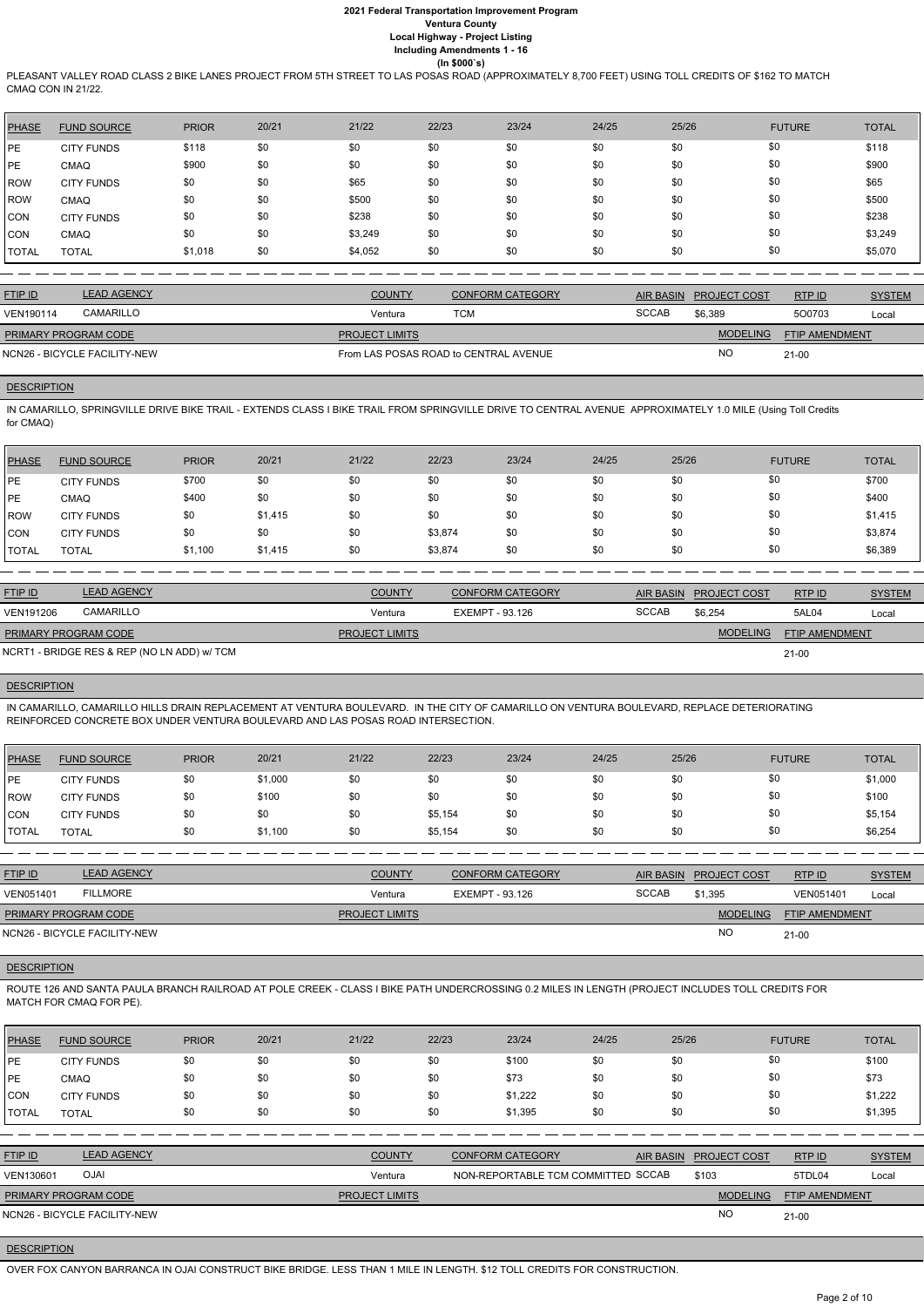PLEASANT VALLEY ROAD CLASS 2 BIKE LANES PROJECT FROM 5TH STREET TO LAS POSAS ROAD (APPROXIMATELY 8,700 FEET) USING TOLL CREDITS OF \$162 TO MATCH CMAQ CON IN 21/22.

| <b>PHASE</b> | <b>FUND SOURCE</b> | <b>PRIOR</b> | 20/21 | 21/22   | 22/23 | 23/24 | 24/25 | 25/26 | <b>FUTURE</b> | <b>TOTAL</b> |
|--------------|--------------------|--------------|-------|---------|-------|-------|-------|-------|---------------|--------------|
| <b>PE</b>    | <b>CITY FUNDS</b>  | \$118        | \$0   | \$0     | \$0   | \$0   | \$0   | \$0   | \$0           | \$118        |
| PE           | <b>CMAQ</b>        | \$900        | \$0   | \$0     | \$0   | \$0   | \$0   | \$0   | \$0           | \$900        |
| <b>ROW</b>   | <b>CITY FUNDS</b>  | \$0          | \$0   | \$65    | \$0   | \$0   | \$0   | \$0   | \$0           | \$65         |
| <b>ROW</b>   | <b>CMAQ</b>        | \$0          | \$0   | \$500   | \$0   | \$0   | \$0   | \$0   | \$0           | \$500        |
| <b>CON</b>   | <b>CITY FUNDS</b>  | \$0          | \$0   | \$238   | \$0   | \$0   | \$0   | \$0   | \$0           | \$238        |
| <b>CON</b>   | <b>CMAQ</b>        | \$0          | \$0   | \$3,249 | \$0   | \$0   | \$0   | \$0   | \$0           | \$3,249      |
| <b>TOTAL</b> | <b>TOTAL</b>       | \$1,018      | \$0   | \$4,052 | \$0   | \$0   | \$0   | \$0   | \$0           | \$5,070      |

| <b>FTIP ID</b>              | <b>LEAD AGENCY</b>           | <b>COUNTY</b>                         | <b>CONFORM CATEGORY</b> | AIR BASIN    | <b>PROJECT COST</b> | <b>RTPID</b>          | <b>SYSTEM</b> |
|-----------------------------|------------------------------|---------------------------------------|-------------------------|--------------|---------------------|-----------------------|---------------|
| VEN190114                   | <b>CAMARILLO</b>             | Ventura                               | TCM                     | <b>SCCAB</b> | \$6.389             | 500703                | Local         |
| <b>PRIMARY PROGRAM CODE</b> |                              | <b>PROJECT LIMITS</b>                 |                         |              | <b>MODELING</b>     | <b>FTIP AMENDMENT</b> |               |
|                             | NCN26 - BICYCLE FACILITY-NEW | From LAS POSAS ROAD to CENTRAL AVENUE |                         |              | <b>NO</b>           | $21 - 00$             |               |

### **DESCRIPTION**

IN CAMARILLO, SPRINGVILLE DRIVE BIKE TRAIL - EXTENDS CLASS I BIKE TRAIL FROM SPRINGVILLE DRIVE TO CENTRAL AVENUE APPROXIMATELY 1.0 MILE (Using Toll Credits for CMAQ)

| <b>PHASE</b> | <b>FUND SOURCE</b> | <b>PRIOR</b> | 20/21   | 21/22 | 22/23   | 23/24 | 24/25 | 25/26 | <b>FUTURE</b> | <b>TOTAL</b> |
|--------------|--------------------|--------------|---------|-------|---------|-------|-------|-------|---------------|--------------|
| l PE         | <b>CITY FUNDS</b>  | \$700        | \$0     | \$0   | \$0     | \$0   | \$0   | \$0   | \$0           | \$700        |
| PE           | <b>CMAQ</b>        | \$400        | \$0     | \$0   | \$0     | \$0   | \$0   | \$0   | \$0           | \$400        |
| ROW          | <b>CITY FUNDS</b>  | \$0          | \$1,415 | \$0   | \$0     | \$0   | \$0   | \$0   | \$0           | \$1,415      |
| <b>CON</b>   | <b>CITY FUNDS</b>  | \$0          | \$0     | \$0   | \$3,874 | \$0   | \$0   | \$0   | \$0           | \$3,874      |
| <b>TOTAL</b> | <b>TOTAL</b>       | \$1,100      | \$1,415 | \$0   | \$3,874 | \$0   | \$0   | \$0   | \$0           | \$6,389      |

| <b>FTIP ID</b>              | <b>LEAD AGENCY</b>                          | <b>COUNTY</b>         | <b>CONFORM CATEGORY</b> | <b>AIR BASIN</b> | <b>PROJECT COST</b> | RTP ID                | <b>SYSTEM</b> |
|-----------------------------|---------------------------------------------|-----------------------|-------------------------|------------------|---------------------|-----------------------|---------------|
| <b>VEN191206</b>            | CAMARILLO                                   | Ventura               | EXEMPT - 93.126         | <b>SCCAB</b>     | \$6.254             | 5AL04                 | Local         |
| <b>PRIMARY PROGRAM CODE</b> |                                             | <b>PROJECT LIMITS</b> |                         |                  | <b>MODELING</b>     | <b>FTIP AMENDMENT</b> |               |
|                             | NCRT1 - BRIDGE RES & REP (NO LN ADD) w/ TCM |                       |                         |                  |                     | 21-00                 |               |

# **DESCRIPTION**

IN CAMARILLO, CAMARILLO HILLS DRAIN REPLACEMENT AT VENTURA BOULEVARD. IN THE CITY OF CAMARILLO ON VENTURA BOULEVARD, REPLACE DETERIORATING REINFORCED CONCRETE BOX UNDER VENTURA BOULEVARD AND LAS POSAS ROAD INTERSECTION.

| <b>PHASE</b>     | <b>FUND SOURCE</b> | <b>PRIOR</b> | 20/21   | 21/22 | 22/23   | 23/24 | 24/25 | 25/26 | <b>FUTURE</b> | <b>TOTAL</b> |
|------------------|--------------------|--------------|---------|-------|---------|-------|-------|-------|---------------|--------------|
| PE               | <b>CITY FUNDS</b>  | \$0          | \$1,000 | \$0   | \$0     | \$0   | \$0   | \$0   | \$0           | \$1,000      |
| ROW <sup>'</sup> | <b>CITY FUNDS</b>  | \$0          | \$100   | \$0   | \$0     | \$0   | \$0   | \$0   | \$0           | \$100        |
| <b>CON</b>       | <b>CITY FUNDS</b>  | \$0          | \$0     | \$0   | \$5,154 | \$0   | \$0   | \$0   | \$0           | \$5,154      |
| <b>TOTAL</b>     | <b>TOTAL</b>       | \$0          | \$1,100 | \$0   | \$5,154 | \$0   | \$0   | \$0   | \$0           | \$6,254      |

| <b>FTIP ID</b>              | <b>LEAD AGENCY</b>           | <b>COUNTY</b>         | <b>CONFORM CATEGORY</b> |              | AIR BASIN PROJECT COST | RTP ID                | <b>SYSTEM</b> |
|-----------------------------|------------------------------|-----------------------|-------------------------|--------------|------------------------|-----------------------|---------------|
| <b>VEN051401</b>            | <b>FILLMORE</b>              | Ventura               | EXEMPT - 93.126         | <b>SCCAB</b> | \$1,395                | VEN051401             | Local         |
| <b>PRIMARY PROGRAM CODE</b> |                              | <b>PROJECT LIMITS</b> |                         |              | <b>MODELING</b>        | <b>FTIP AMENDMENT</b> |               |
|                             | NCN26 - BICYCLE FACILITY-NEW |                       |                         |              | <b>NO</b>              | $21-00$               |               |

### **DESCRIPTION**

ROUTE 126 AND SANTA PAULA BRANCH RAILROAD AT POLE CREEK - CLASS I BIKE PATH UNDERCROSSING 0.2 MILES IN LENGTH (PROJECT INCLUDES TOLL CREDITS FOR MATCH FOR CMAQ FOR PE).

| <b>PHASE</b>   | <b>FUND SOURCE</b>           | <b>PRIOR</b> | 20/21 | 21/22                 | 22/23 | 23/24                              | 24/25 | 25/26            |                     | <b>FUTURE</b>         | <b>TOTAL</b>  |
|----------------|------------------------------|--------------|-------|-----------------------|-------|------------------------------------|-------|------------------|---------------------|-----------------------|---------------|
| <b>IPE</b>     | <b>CITY FUNDS</b>            | \$0          | \$0   | \$0                   | \$0   | \$100                              | \$0   | \$0              | \$0                 |                       | \$100         |
| <b>IPE</b>     | CMAQ                         | \$0          | \$0   | \$0                   | \$0   | \$73                               | \$0   | \$0              | \$0                 |                       | \$73          |
| <b>CON</b>     | <b>CITY FUNDS</b>            | \$0          | \$0   | \$0                   | \$0   | \$1,222                            | \$0   | \$0              | \$0                 |                       | \$1,222       |
| <b>TOTAL</b>   | <b>TOTAL</b>                 | \$0          | \$0   | \$0                   | \$0   | \$1,395                            | \$0   | \$0              | \$0                 |                       | \$1,395       |
|                |                              |              |       |                       |       |                                    |       |                  |                     |                       |               |
| <b>FTIP ID</b> | <b>LEAD AGENCY</b>           |              |       | <b>COUNTY</b>         |       | <b>CONFORM CATEGORY</b>            |       | <b>AIR BASIN</b> | <b>PROJECT COST</b> | RTPID                 | <b>SYSTEM</b> |
| VEN130601      | <b>OJAI</b>                  |              |       | Ventura               |       | NON-REPORTABLE TCM COMMITTED SCCAB |       |                  | \$103               | 5TDL04                | Local         |
|                | PRIMARY PROGRAM CODE         |              |       | <b>PROJECT LIMITS</b> |       |                                    |       |                  | <b>MODELING</b>     | <b>FTIP AMENDMENT</b> |               |
|                | NCN26 - BICYCLE FACILITY-NEW |              |       |                       |       |                                    |       |                  | N <sub>O</sub>      | $21 - 00$             |               |

**DESCRIPTION** 

OVER FOX CANYON BARRANCA IN OJAI CONSTRUCT BIKE BRIDGE. LESS THAN 1 MILE IN LENGTH. \$12 TOLL CREDITS FOR CONSTRUCTION.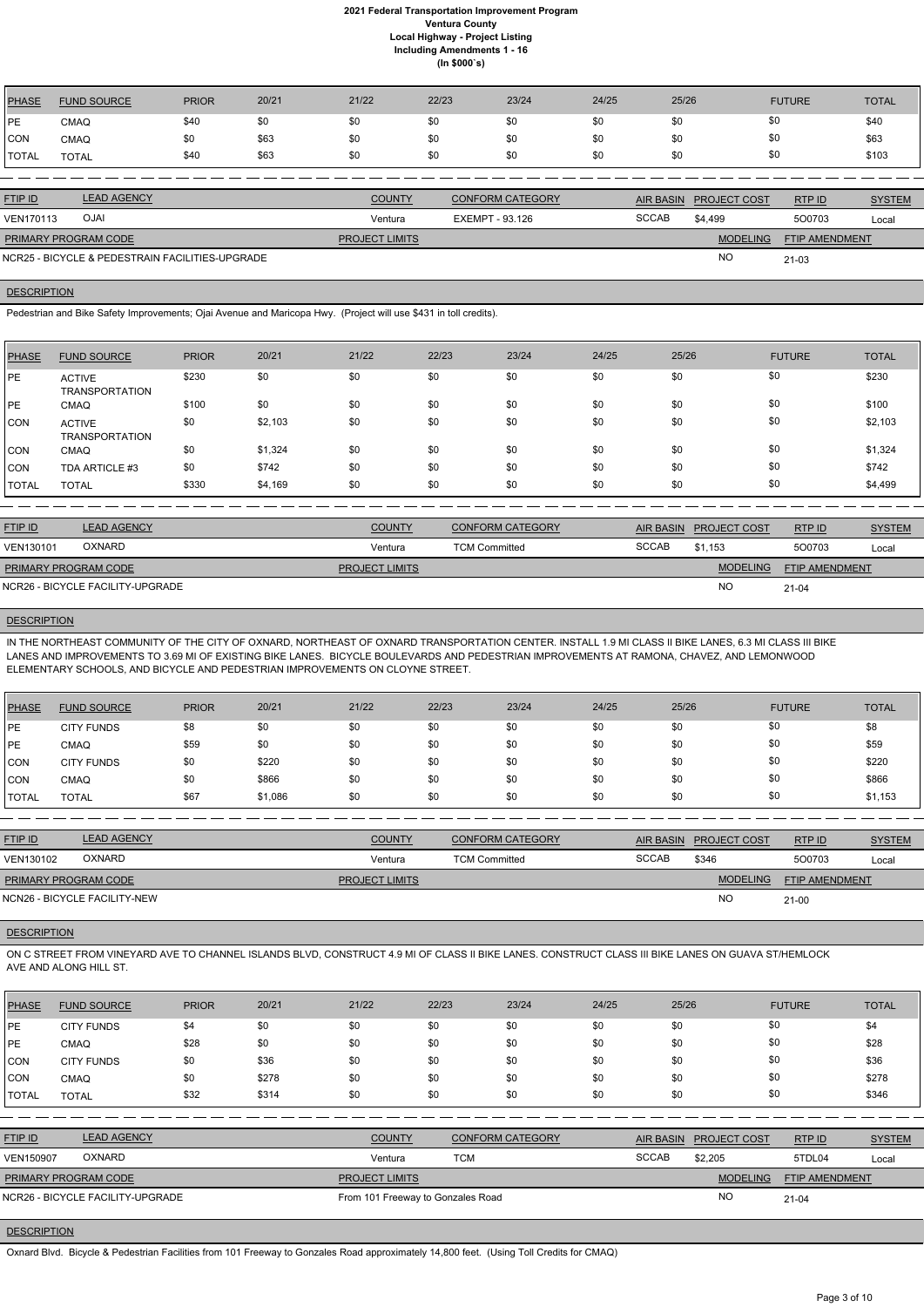| <b>PHASE</b>   | <b>FUND SOURCE</b> | <b>PRIOR</b> | 20/21 | 21/22         | 22/23 | 23/24                   | 24/25 | 25/26                  | <b>FUTURE</b> | <b>TOTAL</b>  |
|----------------|--------------------|--------------|-------|---------------|-------|-------------------------|-------|------------------------|---------------|---------------|
| IPE.           | <b>CMAQ</b>        | \$40         | \$0   | \$0           | \$0   | \$0                     | \$0   | \$0                    | \$0           | \$40          |
| CON            | <b>CMAQ</b>        | \$0          | \$63  | \$0           | \$0   | \$0                     | \$0   | \$0                    | \$0           | \$63          |
| `TOTAL         | <b>TOTAL</b>       | \$40         | \$63  | \$0           | \$0   | \$0                     | \$0   | \$0                    | \$0           | \$103         |
|                |                    |              |       |               |       |                         |       |                        |               |               |
| <b>FTIP ID</b> | <b>LEAD AGENCY</b> |              |       | <b>COUNTY</b> |       | <b>CONFORM CATEGORY</b> |       | AIR BASIN PROJECT COST | RTP ID        | <b>SYSTEM</b> |

| <b>OJAI</b><br><b>VEN170113</b>                 | Ventura               | EXEMPT - 93.126 | <b>SCCAB</b> | \$4.499         | 500703                | Local |
|-------------------------------------------------|-----------------------|-----------------|--------------|-----------------|-----------------------|-------|
| <b>PRIMARY PROGRAM CODE</b>                     | <b>PROJECT LIMITS</b> |                 |              | <b>MODELING</b> | <b>FTIP AMENDMENT</b> |       |
| NCR25 - BICYCLE & PEDESTRAIN FACILITIES-UPGRADE |                       |                 |              | ΝC              | $21 - 03$             |       |

### **DESCRIPTION**

Pedestrian and Bike Safety Improvements; Ojai Avenue and Maricopa Hwy. (Project will use \$431 in toll credits).

IN THE NORTHEAST COMMUNITY OF THE CITY OF OXNARD, NORTHEAST OF OXNARD TRANSPORTATION CENTER. INSTALL 1.9 MI CLASS II BIKE LANES, 6.3 MI CLASS III BIKE LANES AND IMPROVEMENTS TO 3.69 MI OF EXISTING BIKE LANES. BICYCLE BOULEVARDS AND PEDESTRIAN IMPROVEMENTS AT RAMONA, CHAVEZ, AND LEMONWOOD ELEMENTARY SCHOOLS, AND BICYCLE AND PEDESTRIAN IMPROVEMENTS ON CLOYNE STREET.

| <b>PHASE</b> | <b>FUND SOURCE</b>                     | <b>PRIOR</b> | 20/21   | 21/22 | 22/23 | 23/24 | 24/25 | 25/26 | <b>FUTURE</b> | <b>TOTAL</b> |
|--------------|----------------------------------------|--------------|---------|-------|-------|-------|-------|-------|---------------|--------------|
| IPE.         | <b>ACTIVE</b><br><b>TRANSPORTATION</b> | \$230        | \$0     | \$0   | \$0   | \$0   | \$0   | \$0   | \$0           | \$230        |
| IPE.         | <b>CMAQ</b>                            | \$100        | \$0     | \$0   | \$0   | \$0   | \$0   | \$0   | \$0           | \$100        |
| <b>CON</b>   | <b>ACTIVE</b><br><b>TRANSPORTATION</b> | \$0          | \$2,103 | \$0   | \$0   | \$0   | \$0   | \$0   | \$0           | \$2,103      |
| CON          | <b>CMAQ</b>                            | \$0          | \$1,324 | \$0   | \$0   | \$0   | \$0   | \$0   | \$0           | \$1,324      |
| <b>CON</b>   | TDA ARTICLE #3                         | \$0          | \$742   | \$0   | \$0   | \$0   | \$0   | \$0   | \$0           | \$742        |
| <b>TOTAL</b> | <b>TOTAL</b>                           | \$330        | \$4,169 | \$0   | \$0   | \$0   | \$0   | \$0   | \$0           | \$4,499      |

| <b>FTIP ID</b>       | <b>LEAD AGENCY</b>               | <b>COUNTY</b>         | <b>CONFORM CATEGORY</b> |              | AIR BASIN PROJECT COST | RTPID                 | <b>SYSTEM</b> |
|----------------------|----------------------------------|-----------------------|-------------------------|--------------|------------------------|-----------------------|---------------|
| VEN130101            | <b>OXNARD</b>                    | Ventura               | <b>TCM Committed</b>    | <b>SCCAB</b> | \$1.153                | 500703                | Local         |
| PRIMARY PROGRAM CODE |                                  | <b>PROJECT LIMITS</b> |                         |              | <b>MODELING</b>        | <b>FTIP AMENDMENT</b> |               |
|                      | NCR26 - BICYCLE FACILITY-UPGRADE |                       |                         |              | N <sub>O</sub>         | $21 - 04$             |               |

# **DESCRIPTION**

| PHASE          | <b>FUND SOURCE</b> | <b>PRIOR</b> | 20/21   | 21/22 | 22/23 | 23/24 | 24/25 | 25/26 | <b>FUTURE</b> | <b>TOTAL</b> |
|----------------|--------------------|--------------|---------|-------|-------|-------|-------|-------|---------------|--------------|
| PE             | <b>CITY FUNDS</b>  | \$8          | \$0     | \$0   | \$0   | \$0   | \$0   | \$0   | \$0           | \$8          |
| PE             | <b>CMAQ</b>        | \$59         | \$0     | \$0   | \$0   | \$0   | \$0   | \$0   | \$0           | \$59         |
| ICON           | <b>CITY FUNDS</b>  | \$0          | \$220   | \$0   | \$0   | \$0   | \$0   | \$0   | \$0           | \$220        |
| CON            | <b>CMAQ</b>        | \$0          | \$866   | \$0   | \$0   | \$0   | \$0   | \$0   | \$0           | \$866        |
| <b>I</b> TOTAL | TOTAL              | \$67         | \$1,086 | \$0   | \$0   | \$0   | \$0   | \$0   | \$0           | \$1,153      |

| <b>FTIP ID</b>              | <b>LEAD AGENCY</b>           | <b>COUNTY</b>         | <b>CONFORM CATEGORY</b> | <b>AIR BASIN</b> | <b>PROJECT COST</b> | RTP ID                | <b>SYSTEM</b> |
|-----------------------------|------------------------------|-----------------------|-------------------------|------------------|---------------------|-----------------------|---------------|
| VEN130102                   | <b>OXNARD</b>                | Ventura               | <b>TCM Committed</b>    | <b>SCCAB</b>     | \$346               | 500703                | Local         |
| <b>PRIMARY PROGRAM CODE</b> |                              | <b>PROJECT LIMITS</b> |                         |                  | <b>MODELING</b>     | <b>FTIP AMENDMENT</b> |               |
|                             | NCN26 - BICYCLE FACILITY-NEW |                       |                         |                  | <b>NO</b>           | $21 - 00$             |               |

# **DESCRIPTION**

ON C STREET FROM VINEYARD AVE TO CHANNEL ISLANDS BLVD, CONSTRUCT 4.9 MI OF CLASS II BIKE LANES. CONSTRUCT CLASS III BIKE LANES ON GUAVA ST/HEMLOCK AVE AND ALONG HILL ST.

| <b>PHASE</b>   | <b>FUND SOURCE</b>               | <b>PRIOR</b> | 20/21 | 21/22                             | 22/23      | 23/24                   | 24/25 | 25/26            |                     | <b>FUTURE</b>  | <b>TOTAL</b>  |
|----------------|----------------------------------|--------------|-------|-----------------------------------|------------|-------------------------|-------|------------------|---------------------|----------------|---------------|
| <b>PE</b>      | <b>CITY FUNDS</b>                | \$4          | \$0   | \$0                               | \$0        | \$0                     | \$0   | \$0              | \$0                 |                | \$4           |
| PE             | <b>CMAQ</b>                      | \$28         | \$0   | \$0                               | \$0        | \$0                     | \$0   | \$0              | \$0                 |                | \$28          |
| CON            | <b>CITY FUNDS</b>                | \$0          | \$36  | \$0                               | \$0        | \$0                     | \$0   | \$0              | \$0                 |                | \$36          |
| ICON           | <b>CMAQ</b>                      | \$0          | \$278 | \$0                               | \$0        | \$0                     | \$0   | \$0              | \$0                 |                | \$278         |
| <b>TOTAL</b>   | <b>TOTAL</b>                     | \$32         | \$314 | \$0                               | \$0        | \$0                     | \$0   | \$0              | \$0                 |                | \$346         |
|                |                                  |              |       |                                   |            |                         |       |                  |                     |                |               |
| <b>FTIP ID</b> | <b>LEAD AGENCY</b>               |              |       | <b>COUNTY</b>                     |            | <b>CONFORM CATEGORY</b> |       | <b>AIR BASIN</b> | <b>PROJECT COST</b> | RTP ID         | <b>SYSTEM</b> |
| VEN150907      | <b>OXNARD</b>                    |              |       | Ventura                           | <b>TCM</b> |                         |       | <b>SCCAB</b>     | \$2,205             | 5TDL04         | Local         |
|                | PRIMARY PROGRAM CODE             |              |       | <b>PROJECT LIMITS</b>             |            |                         |       |                  | <b>MODELING</b>     | FTIP AMENDMENT |               |
|                | NCR26 - BICYCLE FACILITY-UPGRADE |              |       | From 101 Freeway to Gonzales Road |            |                         |       |                  | <b>NO</b>           | $21 - 04$      |               |
|                |                                  |              |       |                                   |            |                         |       |                  |                     |                |               |

# **DESCRIPTION**

Oxnard Blvd. Bicycle & Pedestrian Facilities from 101 Freeway to Gonzales Road approximately 14,800 feet. (Using Toll Credits for CMAQ)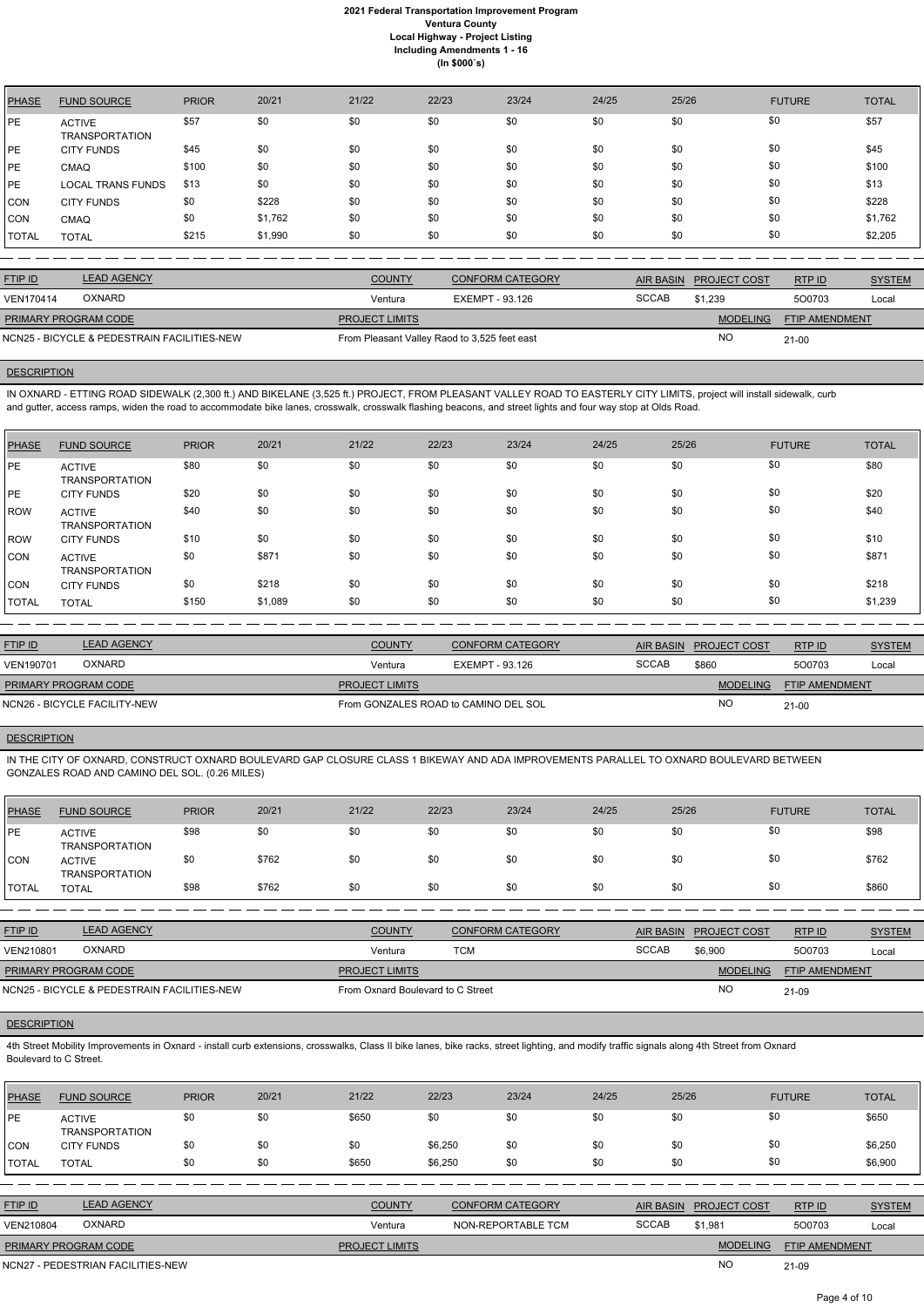| <b>PHASE</b> | <b>FUND SOURCE</b>                     | <b>PRIOR</b> | 20/21   | 21/22 | 22/23 | 23/24 | 24/25 | 25/26 | <b>FUTURE</b> | <b>TOTAL</b> |
|--------------|----------------------------------------|--------------|---------|-------|-------|-------|-------|-------|---------------|--------------|
| PE           | <b>ACTIVE</b><br><b>TRANSPORTATION</b> | \$57         | \$0     | \$0   | \$0   | \$0   | \$0   | \$0   | \$0           | \$57         |
| PE           | <b>CITY FUNDS</b>                      | \$45         | \$0     | \$0   | \$0   | \$0   | \$0   | \$0   | \$0           | \$45         |
| <b>PE</b>    | <b>CMAQ</b>                            | \$100        | \$0     | \$0   | \$0   | \$0   | \$0   | \$0   | \$0           | \$100        |
| <b>PE</b>    | <b>LOCAL TRANS FUNDS</b>               | \$13         | \$0     | \$0   | \$0   | \$0   | \$0   | \$0   | \$0           | \$13         |
| <b>CON</b>   | <b>CITY FUNDS</b>                      | \$0          | \$228   | \$0   | \$0   | \$0   | \$0   | \$0   | \$0           | \$228        |
| <b>CON</b>   | <b>CMAQ</b>                            | \$0          | \$1,762 | \$0   | \$0   | \$0   | \$0   | \$0   | \$0           | \$1,762      |
| TOTAL        | <b>TOTAL</b>                           | \$215        | \$1,990 | \$0   | \$0   | \$0   | \$0   | \$0   | \$0           | \$2,205      |

| <b>FTIP ID</b>              | <b>LEAD AGENCY</b>                          | <b>COUNTY</b>                                | <b>CONFORM CATEGORY</b> | AIR BASIN | <b>PROJECT COST</b> | RTPID                 | <b>SYSTEM</b> |
|-----------------------------|---------------------------------------------|----------------------------------------------|-------------------------|-----------|---------------------|-----------------------|---------------|
| <b>VEN170414</b>            | <b>OXNARD</b>                               | Ventura                                      | EXEMPT - 93.126         | SCCAB     | \$1.239             | 500703                | Local         |
| <b>PRIMARY PROGRAM CODE</b> |                                             | <b>PROJECT LIMITS</b>                        |                         |           | <b>MODELING</b>     | <b>FTIP AMENDMENT</b> |               |
|                             | NCN25 - BICYCLE & PEDESTRAIN FACILITIES-NEW | From Pleasant Valley Raod to 3,525 feet east |                         |           | NC                  | $21 - 00$             |               |

### **DESCRIPTION**

IN OXNARD - ETTING ROAD SIDEWALK (2,300 ft.) AND BIKELANE (3,525 ft.) PROJECT, FROM PLEASANT VALLEY ROAD TO EASTERLY CITY LIMITS, project will install sidewalk, curb and gutter, access ramps, widen the road to accommodate bike lanes, crosswalk, crosswalk flashing beacons, and street lights and four way stop at Olds Road.

| <b>PHASE</b> | <b>FUND SOURCE</b>                     | <b>PRIOR</b> | 20/21   | 21/22 | 22/23 | 23/24 | 24/25 | 25/26 | <b>FUTURE</b> | <b>TOTAL</b> |
|--------------|----------------------------------------|--------------|---------|-------|-------|-------|-------|-------|---------------|--------------|
| <b>IPE</b>   | <b>ACTIVE</b><br><b>TRANSPORTATION</b> | \$80         | \$0     | \$0   | \$0   | \$0   | \$0   | \$0   | \$0           | \$80         |
| <b>IPE</b>   | <b>CITY FUNDS</b>                      | \$20         | \$0     | \$0   | \$0   | \$0   | \$0   | \$0   | \$0           | \$20         |
| ROW          | <b>ACTIVE</b><br><b>TRANSPORTATION</b> | \$40         | \$0     | \$0   | \$0   | \$0   | \$0   | \$0   | \$0           | \$40         |
| ROW          | <b>CITY FUNDS</b>                      | \$10         | \$0     | \$0   | \$0   | \$0   | \$0   | \$0   | \$0           | \$10         |
| CON          | <b>ACTIVE</b><br><b>TRANSPORTATION</b> | \$0          | \$871   | \$0   | \$0   | \$0   | \$0   | \$0   | \$0           | \$871        |
| CON          | <b>CITY FUNDS</b>                      | \$0          | \$218   | \$0   | \$0   | \$0   | \$0   | \$0   | \$0           | \$218        |
| TOTAL        | <b>TOTAL</b>                           | \$150        | \$1,089 | \$0   | \$0   | \$0   | \$0   | \$0   | \$0           | \$1,239      |

4th Street Mobility Improvements in Oxnard - install curb extensions, crosswalks, Class II bike lanes, bike racks, street lighting, and modify traffic signals along 4th Street from Oxnard Boulevard to C Street.

| <b>FTIP ID</b>               | <b>LEAD AGENCY</b> | <b>COUNTY</b>                        | <b>CONFORM CATEGORY</b> |              | AIR BASIN PROJECT COST | RTPID          | <b>SYSTEM</b> |
|------------------------------|--------------------|--------------------------------------|-------------------------|--------------|------------------------|----------------|---------------|
| VEN190701                    | <b>OXNARD</b>      | Ventura                              | EXEMPT - 93.126         | <b>SCCAB</b> | \$860                  | 500703         | Local         |
| <b>PRIMARY PROGRAM CODE</b>  |                    | <b>PROJECT LIMITS</b>                |                         |              | <b>MODELING</b>        | FTIP AMENDMENT |               |
| NCN26 - BICYCLE FACILITY-NEW |                    | From GONZALES ROAD to CAMINO DEL SOL |                         |              | <b>NC</b>              | $21 - 00$      |               |

# **DESCRIPTION**

IN THE CITY OF OXNARD, CONSTRUCT OXNARD BOULEVARD GAP CLOSURE CLASS 1 BIKEWAY AND ADA IMPROVEMENTS PARALLEL TO OXNARD BOULEVARD BETWEEN GONZALES ROAD AND CAMINO DEL SOL. (0.26 MILES)

| <b>PHASE</b> | <b>FUND SOURCE</b>                     | <b>PRIOR</b> | 20/21 | 21/22 | 22/23 | 23/24 | 24/25 | 25/26 | <b>FUTURE</b> | <b>TOTAL</b> |
|--------------|----------------------------------------|--------------|-------|-------|-------|-------|-------|-------|---------------|--------------|
| <b>IPE</b>   | <b>ACTIVE</b><br><b>TRANSPORTATION</b> | \$98         | \$0   | \$0   | \$0   | \$0   | \$0   |       | \$0           | \$98         |
| CON          | <b>ACTIVE</b><br><b>TRANSPORTATION</b> | \$0          | \$762 | \$0   | \$0   | \$0   | \$0   |       | \$0           | \$762        |
| <b>TOTAL</b> | TOTAL                                  | \$98         | \$762 | \$0   | \$0   | \$0   | \$0   | \$0   | \$0           | \$860        |

| <b>FTIP ID</b>              | <b>LEAD AGENCY</b>                          | <b>COUNTY</b>                     | <b>CONFORM CATEGORY</b> |              | AIR BASIN PROJECT COST | RTP ID                | <b>SYSTEM</b> |
|-----------------------------|---------------------------------------------|-----------------------------------|-------------------------|--------------|------------------------|-----------------------|---------------|
| <b>VEN210801</b>            | <b>OXNARD</b>                               | Ventura                           | TCM                     | <b>SCCAB</b> | \$6.900                | 500703                | Local         |
| <b>PRIMARY PROGRAM CODE</b> |                                             | <b>PROJECT LIMITS</b>             |                         |              | <b>MODELING</b>        | <b>FTIP AMENDMENT</b> |               |
|                             | NCN25 - BICYCLE & PEDESTRAIN FACILITIES-NEW | From Oxnard Boulevard to C Street |                         |              | NO.                    | 21-09                 |               |

### **DESCRIPTION**

| <b>PHASE</b> | <b>FUND SOURCE</b>              | <b>PRIOR</b> | 20/21 | 21/22 | 22/23   | 23/24 | 24/25 | 25/26 | <b>FUTURE</b> | <b>TOTAL</b> |
|--------------|---------------------------------|--------------|-------|-------|---------|-------|-------|-------|---------------|--------------|
| PE           | <b>ACTIVE</b><br>TRANSPORTATION | \$0          | \$0   | \$650 | \$0     | \$0   | \$0   | \$0   |               | \$650        |
| <b>CON</b>   | <b>CITY FUNDS</b>               | \$0          | \$0   | \$0   | \$6,250 | \$0   | \$0   | \$0   | \$0           | \$6,250      |
| <b>TOTAL</b> | TOTAL                           | \$0          | \$0   | \$650 | \$6,250 | \$0   | \$0   | \$0   | \$0           | \$6,900      |

| <b>FTIP ID</b>              | <b>LEAD AGENCY</b>                | <b>COUNTY</b>         | <b>CONFORM CATEGORY</b> |              | AIR BASIN PROJECT COST | RTPID                 | <b>SYSTEM</b> |
|-----------------------------|-----------------------------------|-----------------------|-------------------------|--------------|------------------------|-----------------------|---------------|
| VEN210804                   | <b>OXNARD</b>                     | Ventura               | NON-REPORTABLE TCM      | <b>SCCAB</b> | \$1,981                | 500703                | Local         |
| <b>PRIMARY PROGRAM CODE</b> |                                   | <b>PROJECT LIMITS</b> |                         |              | <b>MODELING</b>        | <b>FTIP AMENDMENT</b> |               |
|                             | NCN27 - PEDESTRIAN FACILITIES-NEW |                       |                         |              | <b>NO</b>              | $21 - 09$             |               |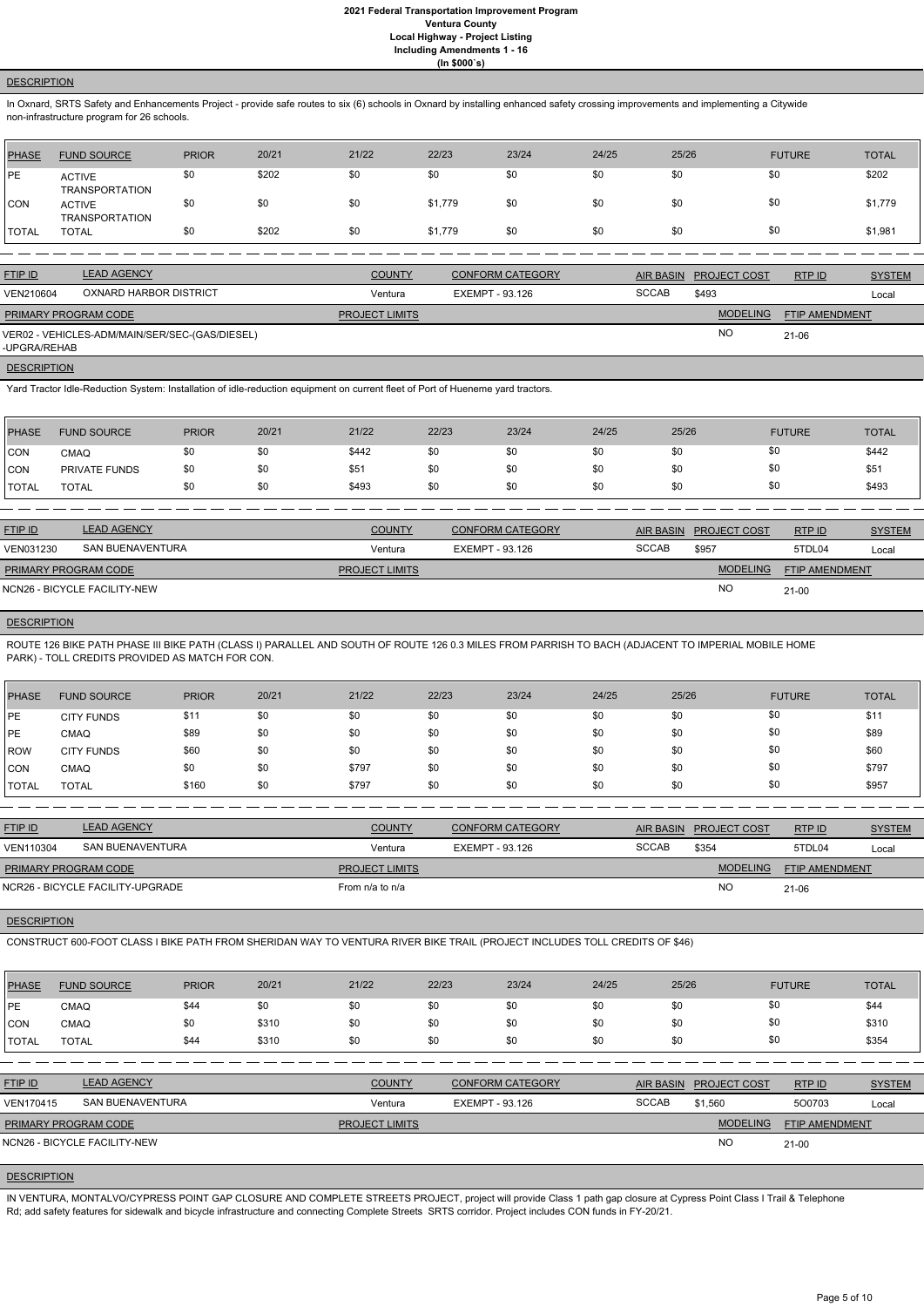### **DESCRIPTION**

In Oxnard, SRTS Safety and Enhancements Project - provide safe routes to six (6) schools in Oxnard by installing enhanced safety crossing improvements and implementing a Citywide non-infrastructure program for 26 schools.

| <b>PHASE</b> | <b>FUND SOURCE</b>                     | <b>PRIOR</b> | 20/21 | 21/22 | 22/23   | 23/24 | 24/25 | 25/26 | <b>FUTURE</b> | <b>TOTAL</b> |
|--------------|----------------------------------------|--------------|-------|-------|---------|-------|-------|-------|---------------|--------------|
| <b>PE</b>    | <b>ACTIVE</b><br><b>TRANSPORTATION</b> | \$0          | \$202 | \$0   | \$0     | \$0   | \$0   | \$0   | \$0           | \$202        |
| <b>CON</b>   | <b>ACTIVE</b><br><b>TRANSPORTATION</b> | \$0          | \$0   | \$0   | \$1,779 | \$0   | \$0   | \$0   | \$0           | \$1,779      |
| <b>TOTAL</b> | <b>TOTAL</b>                           | \$0          | \$202 | \$0   | \$1,779 | \$0   | \$0   | \$0   | \$0           | \$1,981      |

| <b>FTIP ID</b>              | <b>LEAD AGENCY</b>                             | <b>COUNTY</b>         | <b>CONFORM CATEGORY</b> |              | AIR BASIN PROJECT COST | RTPID          | <b>SYSTEM</b> |
|-----------------------------|------------------------------------------------|-----------------------|-------------------------|--------------|------------------------|----------------|---------------|
| VEN210604                   | OXNARD HARBOR DISTRICT                         | Ventura               | EXEMPT - 93.126         | <b>SCCAB</b> | \$493                  |                | Local         |
| <b>PRIMARY PROGRAM CODE</b> |                                                | <b>PROJECT LIMITS</b> |                         |              | <b>MODELING</b>        | FTIP AMENDMENT |               |
| -UPGRA/REHAB                | VER02 - VEHICLES-ADM/MAIN/SER/SEC-(GAS/DIESEL) |                       |                         |              | <b>NO</b>              | $21-06$        |               |

#### **DESCRIPTION**

Yard Tractor Idle-Reduction System: Installation of idle-reduction equipment on current fleet of Port of Hueneme yard tractors.

| <b>PHASE</b>  | <b>FUND SOURCE</b> | <b>PRIOR</b> | 20/21 | 21/22 | 22/23 | 23/24 | 24/25 | 25/26 | <b>FUTURE</b> | <b>TOTAL</b> |
|---------------|--------------------|--------------|-------|-------|-------|-------|-------|-------|---------------|--------------|
| CON           | <b>CMAQ</b>        | \$0          | \$0   | \$442 | \$0   | \$0   | \$0   |       | \$0           | \$442        |
| <b>CON</b>    | PRIVATE FUNDS      | \$0          | \$0   | \$51  | \$0   | \$0   | \$0   |       | \$0           | \$51         |
| <b>ITOTAL</b> | <b>TOTAL</b>       | \$0          | \$0   | \$493 | \$0   | \$0   | \$0   |       | \$0           | \$493        |

| <b>FTIP ID</b>              | <b>LEAD AGENCY</b>           | <b>COUNTY</b>         | <b>CONFORM CATEGORY</b> | AIR BASIN | <b>PROJECT COST</b> | RTPID                 | <b>SYSTEM</b> |
|-----------------------------|------------------------------|-----------------------|-------------------------|-----------|---------------------|-----------------------|---------------|
| VEN031230                   | SAN BUENAVENTURA             | Ventura               | EXEMPT - 93.126         | SCCAB     | \$957               | 5TDL04                | Local         |
| <b>PRIMARY PROGRAM CODE</b> |                              | <b>PROJECT LIMITS</b> |                         |           | <b>MODELING</b>     | <b>FTIP AMENDMENT</b> |               |
|                             | NCN26 - BICYCLE FACILITY-NEW |                       |                         |           | <b>NO</b>           | $21 - 00$             |               |

# **DESCRIPTION**

ROUTE 126 BIKE PATH PHASE III BIKE PATH (CLASS I) PARALLEL AND SOUTH OF ROUTE 126 0.3 MILES FROM PARRISH TO BACH (ADJACENT TO IMPERIAL MOBILE HOME PARK) - TOLL CREDITS PROVIDED AS MATCH FOR CON.

| PHASE         | <b>FUND SOURCE</b> | <b>PRIOR</b> | 20/21 | 21/22 | 22/23 | 23/24 | 24/25 | 25/26 | <b>FUTURE</b> | <b>TOTAL</b> |
|---------------|--------------------|--------------|-------|-------|-------|-------|-------|-------|---------------|--------------|
| <b>IPE</b>    | <b>CITY FUNDS</b>  | \$11         | \$0   | \$0   | \$0   | \$0   | \$0   | \$0   | \$0           | \$11         |
| <b>IPE</b>    | CMAQ               | \$89         | \$0   | \$0   | \$0   | \$0   | \$0   | \$0   | \$0           | \$89         |
| <b>IROW</b>   | <b>CITY FUNDS</b>  | \$60         | \$0   | \$0   | \$0   | \$0   | \$0   | \$0   | \$0           | \$60         |
| ICON          | CMAQ               | \$0          | \$0   | \$797 | \$0   | \$0   | \$0   | \$0   | \$0           | \$797        |
| <b>ITOTAL</b> | <b>TOTAL</b>       | \$160        | \$0   | \$797 | \$0   | \$0   | \$0   | \$0   | \$0           | \$957        |

| <b>LEAD AGENCY</b>          | <b>COUNTY</b>                    | <b>CONFORM CATEGORY</b> | <b>AIR BASIN</b> |                 | RTP ID                | <b>SYSTEM</b> |
|-----------------------------|----------------------------------|-------------------------|------------------|-----------------|-----------------------|---------------|
| SAN BUENAVENTURA            | Ventura                          | EXEMPT - 93.126         | <b>SCCAB</b>     | \$354           | 5TDL04                | Local         |
| <b>PRIMARY PROGRAM CODE</b> |                                  |                         |                  | <b>MODELING</b> | <b>FTIP AMENDMENT</b> |               |
|                             | From $n/a$ to $n/a$              |                         |                  | <b>NO</b>       | 21-06                 |               |
|                             | NCR26 - BICYCLE FACILITY-UPGRADE | <b>PROJECT LIMITS</b>   |                  |                 | <b>PROJECT COST</b>   |               |

#### **DESCRIPTION**

CONSTRUCT 600-FOOT CLASS I BIKE PATH FROM SHERIDAN WAY TO VENTURA RIVER BIKE TRAIL (PROJECT INCLUDES TOLL CREDITS OF \$46)

| <b>PHASE</b>   | <b>FUND SOURCE</b>           | <b>PRIOR</b> | 20/21 | 21/22                 | 22/23           | 23/24                   | 24/25 | 25/26            |                     | <b>FUTURE</b>         | <b>TOTAL</b>  |
|----------------|------------------------------|--------------|-------|-----------------------|-----------------|-------------------------|-------|------------------|---------------------|-----------------------|---------------|
| <b>PE</b>      | <b>CMAQ</b>                  | \$44         | \$0   | \$0                   | \$0             | \$0                     | \$0   | \$0              | \$0                 |                       | \$44          |
| CON            | CMAQ                         | \$0          | \$310 | \$0                   | \$0             | \$0                     | \$0   | \$0              | \$0                 |                       | \$310         |
| <b>TOTAL</b>   | <b>TOTAL</b>                 | \$44         | \$310 | \$0                   | \$0             | \$0                     | \$0   | \$0              | \$0                 |                       | \$354         |
|                |                              |              |       |                       |                 |                         |       |                  |                     |                       |               |
| <b>FTIP ID</b> | <b>LEAD AGENCY</b>           |              |       | <b>COUNTY</b>         |                 | <b>CONFORM CATEGORY</b> |       | <b>AIR BASIN</b> | <b>PROJECT COST</b> | RTP ID                | <b>SYSTEM</b> |
| VEN170415      | <b>SAN BUENAVENTURA</b>      |              |       | Ventura               | EXEMPT - 93.126 |                         |       | <b>SCCAB</b>     | \$1,560             | 500703                | Local         |
|                | PRIMARY PROGRAM CODE         |              |       | <b>PROJECT LIMITS</b> |                 |                         |       |                  | <b>MODELING</b>     | <b>FTIP AMENDMENT</b> |               |
|                | NCN26 - BICYCLE FACILITY-NEW |              |       |                       |                 |                         |       |                  | <b>NO</b>           | $21 - 00$             |               |
|                |                              |              |       |                       |                 |                         |       |                  |                     |                       |               |

# **DESCRIPTION**

IN VENTURA, MONTALVO/CYPRESS POINT GAP CLOSURE AND COMPLETE STREETS PROJECT, project will provide Class 1 path gap closure at Cypress Point Class I Trail & Telephone Rd; add safety features for sidewalk and bicycle infrastructure and connecting Complete Streets SRTS corridor. Project includes CON funds in FY-20/21.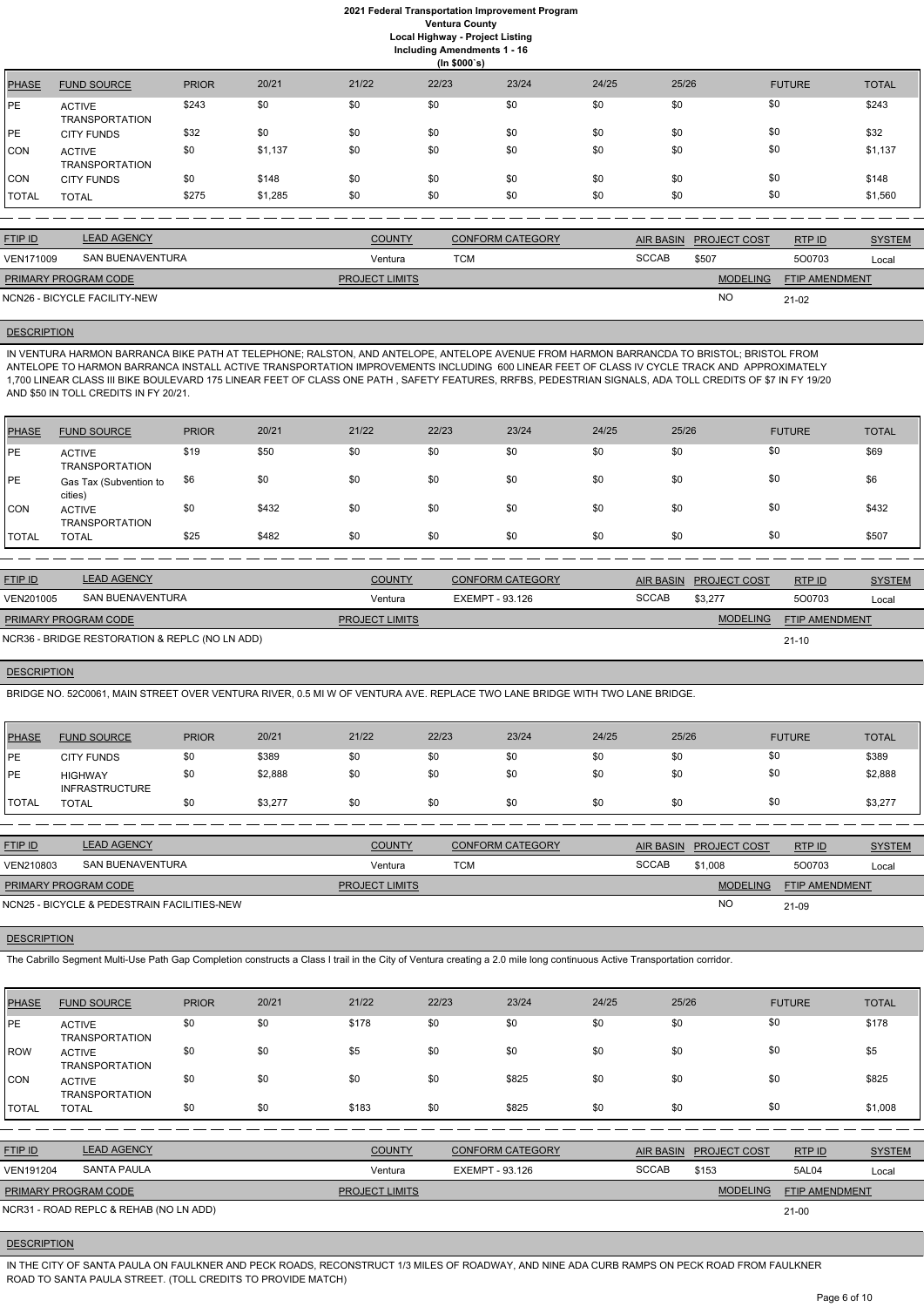# **2021 Federal Transportation Improvement Program Ventura County Local Highway - Project Listing**

**Including Amendments 1 - 16**

|              | (ln \$000's)                           |              |         |       |       |       |       |       |               |              |  |  |
|--------------|----------------------------------------|--------------|---------|-------|-------|-------|-------|-------|---------------|--------------|--|--|
| <b>PHASE</b> | <b>FUND SOURCE</b>                     | <b>PRIOR</b> | 20/21   | 21/22 | 22/23 | 23/24 | 24/25 | 25/26 | <b>FUTURE</b> | <b>TOTAL</b> |  |  |
| PE           | <b>ACTIVE</b><br><b>TRANSPORTATION</b> | \$243        | \$0     | \$0   | \$0   | \$0   | \$0   | \$0   | \$0           | \$243        |  |  |
| <b>PE</b>    | <b>CITY FUNDS</b>                      | \$32         | \$0     | \$0   | \$0   | \$0   | \$0   | \$0   | \$0           | \$32         |  |  |
| <b>CON</b>   | <b>ACTIVE</b><br><b>TRANSPORTATION</b> | \$0          | \$1,137 | \$0   | \$0   | \$0   | \$0   | \$0   | \$0           | \$1,137      |  |  |
| <b>CON</b>   | <b>CITY FUNDS</b>                      | \$0          | \$148   | \$0   | \$0   | \$0   | \$0   | \$0   | \$0           | \$148        |  |  |
| <b>TOTAL</b> | <b>TOTAL</b>                           | \$275        | \$1,285 | \$0   | \$0   | \$0   | \$0   | \$0   | \$0           | \$1,560      |  |  |
|              |                                        |              |         |       |       |       |       |       |               |              |  |  |

| <b>FTIP ID</b>              | <b>LEAD AGENCY</b>           | <b>COUNTY</b>         | <b>CONFORM CATEGORY</b> | <b>AIR BASIN</b> | <b>PROJECT COST</b> | RTP ID                | <b>SYSTEM</b> |
|-----------------------------|------------------------------|-----------------------|-------------------------|------------------|---------------------|-----------------------|---------------|
| VEN171009                   | SAN BUENAVENTURA             | Ventura               | TCM                     | <b>SCCAB</b>     | \$507               | 500703                | Local         |
| <b>PRIMARY PROGRAM CODE</b> |                              | <b>PROJECT LIMITS</b> |                         |                  | <b>MODELING</b>     | <b>FTIP AMENDMENT</b> |               |
|                             | NCN26 - BICYCLE FACILITY-NEW |                       |                         |                  | N <sub>O</sub>      | $21 - 02$             |               |

# **DESCRIPTION**

IN VENTURA HARMON BARRANCA BIKE PATH AT TELEPHONE; RALSTON, AND ANTELOPE, ANTELOPE AVENUE FROM HARMON BARRANCDA TO BRISTOL; BRISTOL FROM ANTELOPE TO HARMON BARRANCA INSTALL ACTIVE TRANSPORTATION IMPROVEMENTS INCLUDING 600 LINEAR FEET OF CLASS IV CYCLE TRACK AND APPROXIMATELY 1,700 LINEAR CLASS III BIKE BOULEVARD 175 LINEAR FEET OF CLASS ONE PATH , SAFETY FEATURES, RRFBS, PEDESTRIAN SIGNALS, ADA TOLL CREDITS OF \$7 IN FY 19/20 AND \$50 IN TOLL CREDITS IN FY 20/21.

| PHASE        | <b>FUND SOURCE</b>                     | <b>PRIOR</b> | 20/21 | 21/22 | 22/23 | 23/24 | 24/25 | 25/26 | <b>FUTURE</b> | <b>TOTAL</b> |
|--------------|----------------------------------------|--------------|-------|-------|-------|-------|-------|-------|---------------|--------------|
| <b>IPE</b>   | <b>ACTIVE</b><br><b>TRANSPORTATION</b> | \$19         | \$50  | \$0   | \$0   | \$0   | \$0   | \$0   | \$0           | \$69         |
| <b>IPE</b>   | Gas Tax (Subvention to<br>cities)      | \$6          | \$0   | \$0   | \$0   | \$0   | \$0   | \$0   | \$0           | \$6          |
| <b>CON</b>   | <b>ACTIVE</b><br><b>TRANSPORTATION</b> | \$0          | \$432 | \$0   | \$0   | \$0   | \$0   | \$0   | \$0           | \$432        |
| <b>TOTAL</b> | <b>TOTAL</b>                           | \$25         | \$482 | \$0   | \$0   | \$0   | \$0   | \$0   | \$0           | \$507        |

| <b>FTIP ID</b>              | <b>LEAD AGENCY</b>                             | <b>COUNTY</b>         | <b>CONFORM CATEGORY</b> |              | AIR BASIN PROJECT COST | RTPID                 | <b>SYSTEM</b> |
|-----------------------------|------------------------------------------------|-----------------------|-------------------------|--------------|------------------------|-----------------------|---------------|
| VEN201005                   | SAN BUENAVENTURA                               | Ventura               | EXEMPT - 93.126         | <b>SCCAB</b> | \$3,277                | 500703                | Local         |
| <b>PRIMARY PROGRAM CODE</b> |                                                | <b>PROJECT LIMITS</b> |                         |              | <b>MODELING</b>        | <b>FTIP AMENDMENT</b> |               |
|                             | NCR36 - BRIDGE RESTORATION & REPLC (NO LN ADD) |                       |                         |              |                        | $21 - 10$             |               |

### **DESCRIPTION**

BRIDGE NO. 52C0061, MAIN STREET OVER VENTURA RIVER, 0.5 MI W OF VENTURA AVE. REPLACE TWO LANE BRIDGE WITH TWO LANE BRIDGE.

| PHASE          | <b>FUND SOURCE</b>                      | <b>PRIOR</b> | 20/21   | 21/22 | 22/23 | 23/24 | 24/25 | 25/26 | <b>FUTURE</b> | <b>TOTAL</b> |
|----------------|-----------------------------------------|--------------|---------|-------|-------|-------|-------|-------|---------------|--------------|
| PE             | <b>CITY FUNDS</b>                       | \$0          | \$389   | \$0   | \$0   | \$0   | \$0   | \$0   | \$0           | \$389        |
| PE             | <b>HIGHWAY</b><br><b>INFRASTRUCTURE</b> | \$0          | \$2,888 | \$0   | \$0   | \$0   | \$0   | \$0   | \$0           | \$2,888      |
| <b>I</b> TOTAL | <b>TOTAL</b>                            | \$0          | \$3,277 | \$0   | \$0   | \$0   | \$0   | \$0   | \$0           | \$3,277      |

| <b>FTIP ID</b>              | <b>LEAD AGENCY</b>                          | <b>COUNTY</b>         | <b>CONFORM CATEGORY</b> |              | AIR BASIN PROJECT COST | RTPID                 | <b>SYSTEM</b> |
|-----------------------------|---------------------------------------------|-----------------------|-------------------------|--------------|------------------------|-----------------------|---------------|
| VEN210803                   | SAN BUENAVENTURA                            | Ventura               | TCM                     | <b>SCCAB</b> | \$1.008                | 500703                | Local         |
| <b>PRIMARY PROGRAM CODE</b> |                                             | <b>PROJECT LIMITS</b> |                         |              | <b>MODELING</b>        | <b>FTIP AMENDMENT</b> |               |
|                             | NCN25 - BICYCLE & PEDESTRAIN FACILITIES-NEW |                       |                         |              | <b>NC</b>              | 21-09                 |               |

**DESCRIPTION** 

The Cabrillo Segment Multi-Use Path Gap Completion constructs a Class I trail in the City of Ventura creating a 2.0 mile long continuous Active Transportation corridor.

| <b>PHASE</b> | <b>FUND SOURCE</b>                     | <b>PRIOR</b> | 20/21 | 21/22 | 22/23 | 23/24 | 24/25 | 25/26 | <b>FUTURE</b> | <b>TOTAL</b> |
|--------------|----------------------------------------|--------------|-------|-------|-------|-------|-------|-------|---------------|--------------|
| <b>IPE</b>   | <b>ACTIVE</b><br><b>TRANSPORTATION</b> | \$0          | \$0   | \$178 | \$0   | \$0   | \$0   | \$0   | \$0           | \$178        |
| ROW          | <b>ACTIVE</b><br><b>TRANSPORTATION</b> | \$0          | \$0   | \$5   | \$0   | \$0   | \$0   | \$0   | \$0           | \$5          |
| ICON         | <b>ACTIVE</b><br><b>TRANSPORTATION</b> | \$0          | \$0   | \$0   | \$0   | \$825 | \$0   | \$0   | \$0           | \$825        |
| ITOTAL       | <b>TOTAL</b>                           | \$0          | \$0   | \$183 | \$0   | \$825 | \$0   | \$0   | \$0           | \$1,008      |

| <b>FTIP ID</b>              | <b>LEAD AGENCY</b>                     | <b>COUNTY</b>         | CONFORM CATEGORY |              | AIR BASIN PROJECT COST | RTP ID                | <b>SYSTEM</b> |
|-----------------------------|----------------------------------------|-----------------------|------------------|--------------|------------------------|-----------------------|---------------|
| <b>VEN191204</b>            | SANTA PAULA                            | Ventura               | EXEMPT - 93.126  | <b>SCCAB</b> | \$153                  | 5AL04                 | Local         |
| <b>PRIMARY PROGRAM CODE</b> |                                        | <b>PROJECT LIMITS</b> |                  |              | <b>MODELING</b>        | <b>FTIP AMENDMENT</b> |               |
|                             | NCR31 - ROAD REPLC & REHAB (NO LN ADD) |                       |                  |              |                        | $21 - 00$             |               |

#### **DESCRIPTION**

IN THE CITY OF SANTA PAULA ON FAULKNER AND PECK ROADS, RECONSTRUCT 1/3 MILES OF ROADWAY, AND NINE ADA CURB RAMPS ON PECK ROAD FROM FAULKNER ROAD TO SANTA PAULA STREET. (TOLL CREDITS TO PROVIDE MATCH)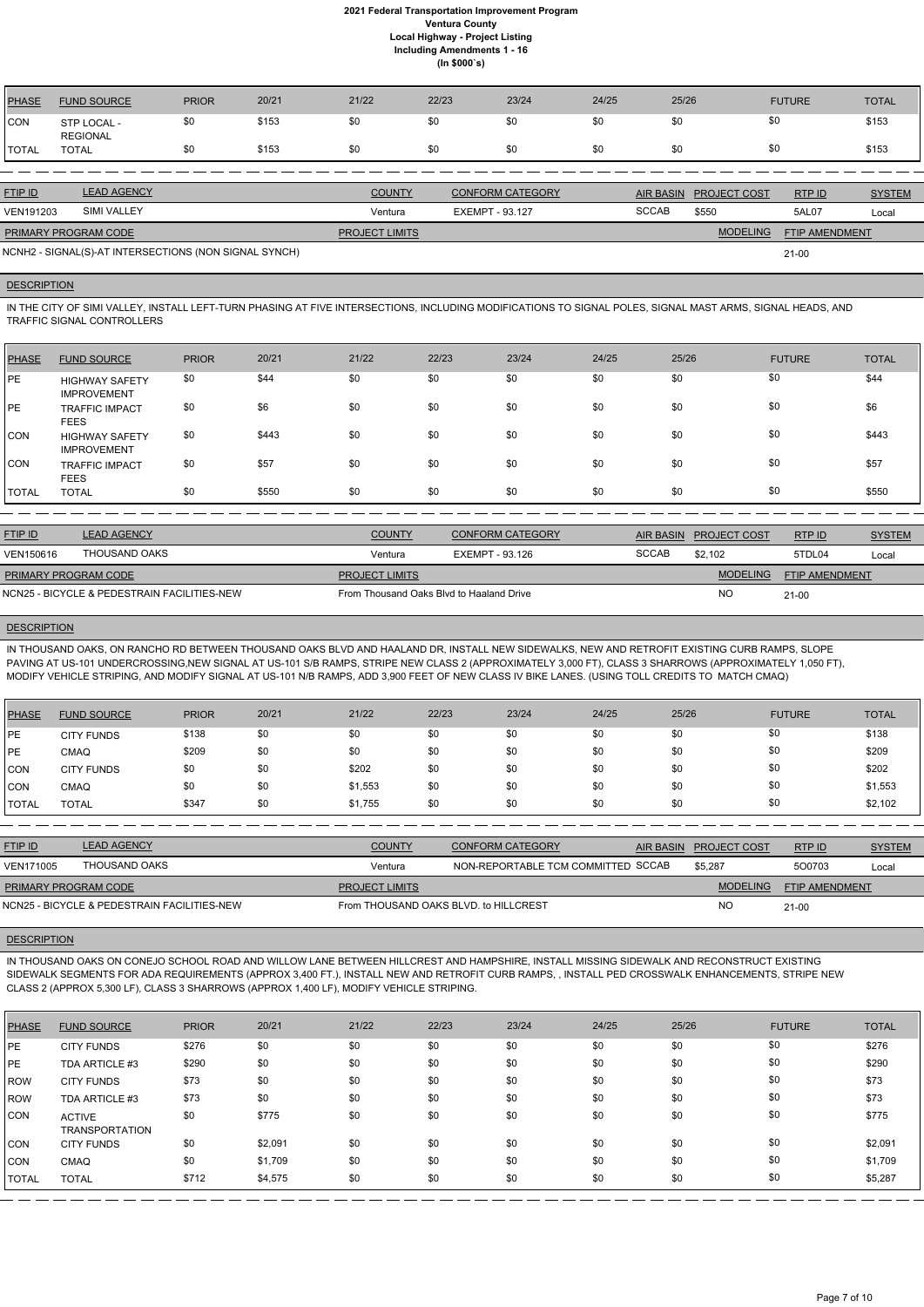| <b>PHASE</b> | <b>FUND SOURCE</b>             | <b>PRIOR</b> | 20/21 | 21/22 | 22/23 | 23/24 | 24/25 | 25/26 | <b>FUTURE</b> | <b>TOTAL</b> |
|--------------|--------------------------------|--------------|-------|-------|-------|-------|-------|-------|---------------|--------------|
| CON          | STP LOCAL -<br><b>REGIONAL</b> | \$0          | \$153 | \$0   | \$0   | \$0   | \$0   | \$0   | \$0           | \$153        |
| TOTAL        | TOTAL                          | \$0          | \$153 | \$0   | \$0   | \$0   | \$0   | \$0   | \$0           | \$153        |
|              |                                |              |       |       |       |       |       |       |               |              |

IN THE CITY OF SIMI VALLEY, INSTALL LEFT-TURN PHASING AT FIVE INTERSECTIONS, INCLUDING MODIFICATIONS TO SIGNAL POLES, SIGNAL MAST ARMS, SIGNAL HEADS, AND TRAFFIC SIGNAL CONTROLLERS

| <b>FTIP ID</b>              | <b>LEAD AGENCY</b>                                    | <b>COUNTY</b>         | <b>CONFORM CATEGORY</b> |              | AIR BASIN PROJECT COST | RTPID                 | <b>SYSTEM</b> |
|-----------------------------|-------------------------------------------------------|-----------------------|-------------------------|--------------|------------------------|-----------------------|---------------|
| <b>VEN191203</b>            | SIMI VALLEY                                           | Ventura               | EXEMPT - 93.127         | <b>SCCAB</b> | \$550                  | 5AL07                 | Local         |
| <b>PRIMARY PROGRAM CODE</b> |                                                       | <b>PROJECT LIMITS</b> |                         |              | <b>MODELING</b>        | <b>FTIP AMENDMENT</b> |               |
|                             | NCNH2 - SIGNAL(S)-AT INTERSECTIONS (NON SIGNAL SYNCH) |                       |                         |              |                        | $21 - 00$             |               |

### **DESCRIPTION**

| PHASE        | <b>FUND SOURCE</b>                          | <b>PRIOR</b> | 20/21 | 21/22 | 22/23 | 23/24 | 24/25 | 25/26 | <b>FUTURE</b> | <b>TOTAL</b> |
|--------------|---------------------------------------------|--------------|-------|-------|-------|-------|-------|-------|---------------|--------------|
| <b>PE</b>    | <b>HIGHWAY SAFETY</b><br><b>IMPROVEMENT</b> | \$0          | \$44  | \$0   | \$0   | \$0   | \$0   | \$0   | \$0           | \$44         |
| <b>IPE</b>   | <b>TRAFFIC IMPACT</b><br><b>FEES</b>        | \$0          | \$6   | \$0   | \$0   | \$0   | \$0   | \$0   | \$0           | \$6          |
| <b>CON</b>   | <b>HIGHWAY SAFETY</b><br><b>IMPROVEMENT</b> | \$0          | \$443 | \$0   | \$0   | \$0   | \$0   | \$0   | \$0           | \$443        |
| CON          | <b>TRAFFIC IMPACT</b><br><b>FEES</b>        | \$0          | \$57  | \$0   | \$0   | \$0   | \$0   | \$0   | \$0           | \$57         |
| <b>TOTAL</b> | <b>TOTAL</b>                                | \$0          | \$550 | \$0   | \$0   | \$0   | \$0   | \$0   | \$0           | \$550        |

| <b>FTIP ID</b>              | <b>LEAD AGENCY</b>                          | <b>COUNTY</b>                            | <b>CONFORM CATEGORY</b> |       | AIR BASIN PROJECT COST | RTPID                 | <b>SYSTEM</b> |
|-----------------------------|---------------------------------------------|------------------------------------------|-------------------------|-------|------------------------|-----------------------|---------------|
| VEN150616                   | THOUSAND OAKS                               | Ventura                                  | EXEMPT - 93.126         | SCCAB | \$2.102                | 5TDL04                | Local         |
| <b>PRIMARY PROGRAM CODE</b> |                                             | <b>PROJECT LIMITS</b>                    |                         |       | <b>MODELING</b>        | <b>FTIP AMENDMENT</b> |               |
|                             | NCN25 - BICYCLE & PEDESTRAIN FACILITIES-NEW | From Thousand Oaks Blyd to Haaland Drive |                         |       | <b>NO</b>              | $21-00$               |               |

### **DESCRIPTION**

IN THOUSAND OAKS, ON RANCHO RD BETWEEN THOUSAND OAKS BLVD AND HAALAND DR, INSTALL NEW SIDEWALKS, NEW AND RETROFIT EXISTING CURB RAMPS, SLOPE PAVING AT US-101 UNDERCROSSING,NEW SIGNAL AT US-101 S/B RAMPS, STRIPE NEW CLASS 2 (APPROXIMATELY 3,000 FT), CLASS 3 SHARROWS (APPROXIMATELY 1,050 FT), MODIFY VEHICLE STRIPING, AND MODIFY SIGNAL AT US-101 N/B RAMPS, ADD 3,900 FEET OF NEW CLASS IV BIKE LANES. (USING TOLL CREDITS TO MATCH CMAQ)

| PHASE        | <b>FUND SOURCE</b> | <b>PRIOR</b> | 20/21 | 21/22   | 22/23 | 23/24 | 24/25 | 25/26 | <b>FUTURE</b> | <b>TOTAL</b> |
|--------------|--------------------|--------------|-------|---------|-------|-------|-------|-------|---------------|--------------|
| PE           | <b>CITY FUNDS</b>  | \$138        | \$0   | \$0     | \$0   | \$0   | \$0   | \$0   | \$0           | \$138        |
| l PE         | CMAQ               | \$209        | \$0   | \$0     | \$0   | \$0   | \$0   | \$0   | \$0           | \$209        |
| <b>CON</b>   | <b>CITY FUNDS</b>  | \$0          | \$0   | \$202   | \$0   | \$0   | \$0   | \$0   | \$0           | \$202        |
| <b>ICON</b>  | CMAQ               | \$0          | \$0   | \$1,553 | \$0   | \$0   | \$0   | \$0   | \$0           | \$1,553      |
| <b>TOTAL</b> | <b>TOTAL</b>       | \$347        | \$0   | \$1,755 | \$0   | \$0   | \$0   | \$0   | \$0           | \$2,102      |

| <b>FTIP ID</b>              | <b>LEAD AGENCY</b>                          | <b>COUNTY</b>                         | <b>CONFORM CATEGORY</b>            | AIR BASIN | <b>PROJECT COST</b> | RTPID                 | <b>SYSTEM</b> |
|-----------------------------|---------------------------------------------|---------------------------------------|------------------------------------|-----------|---------------------|-----------------------|---------------|
| <b>VEN171005</b>            | THOUSAND OAKS                               | Ventura                               | NON-REPORTABLE TCM COMMITTED SCCAB |           | \$5,287             | 500703                | Local         |
| <b>PRIMARY PROGRAM CODE</b> |                                             | <b>PROJECT LIMITS</b>                 |                                    |           | <b>MODELING</b>     | <b>FTIP AMENDMENT</b> |               |
|                             | NCN25 - BICYCLE & PEDESTRAIN FACILITIES-NEW | From THOUSAND OAKS BLVD, to HILLCREST |                                    |           | <b>NO</b>           | $21 - 00$             |               |

# **DESCRIPTION**

IN THOUSAND OAKS ON CONEJO SCHOOL ROAD AND WILLOW LANE BETWEEN HILLCREST AND HAMPSHIRE, INSTALL MISSING SIDEWALK AND RECONSTRUCT EXISTING SIDEWALK SEGMENTS FOR ADA REQUIREMENTS (APPROX 3,400 FT.), INSTALL NEW AND RETROFIT CURB RAMPS, , INSTALL PED CROSSWALK ENHANCEMENTS, STRIPE NEW

CLASS 2 (APPROX 5,300 LF), CLASS 3 SHARROWS (APPROX 1,400 LF), MODIFY VEHICLE STRIPING.

| <b>PHASE</b> | <b>FUND SOURCE</b>                     | <b>PRIOR</b> | 20/21   | 21/22 | 22/23 | 23/24 | 24/25 | 25/26 | <b>FUTURE</b> | <b>TOTAL</b> |
|--------------|----------------------------------------|--------------|---------|-------|-------|-------|-------|-------|---------------|--------------|
| <b>IPE</b>   | <b>CITY FUNDS</b>                      | \$276        | \$0     | \$0   | \$0   | \$0   | \$0   | \$0   | \$0           | \$276        |
| <b>IPE</b>   | TDA ARTICLE #3                         | \$290        | \$0     | \$0   | \$0   | \$0   | \$0   | \$0   | \$0           | \$290        |
| l ROW        | <b>CITY FUNDS</b>                      | \$73         | \$0     | \$0   | \$0   | \$0   | \$0   | \$0   | \$0           | \$73         |
| l ROW        | TDA ARTICLE #3                         | \$73         | \$0     | \$0   | \$0   | \$0   | \$0   | \$0   | \$0           | \$73         |
| <b>CON</b>   | <b>ACTIVE</b><br><b>TRANSPORTATION</b> | \$0          | \$775   | \$0   | \$0   | \$0   | \$0   | \$0   | \$0           | \$775        |
| ICON.        | <b>CITY FUNDS</b>                      | \$0          | \$2,091 | \$0   | \$0   | \$0   | \$0   | \$0   | \$0           | \$2,091      |
| CON          | CMAQ                                   | \$0          | \$1,709 | \$0   | \$0   | \$0   | \$0   | \$0   | \$0           | \$1,709      |
| <b>TOTAL</b> | <b>TOTAL</b>                           | \$712        | \$4,575 | \$0   | \$0   | \$0   | \$0   | \$0   | \$0           | \$5,287      |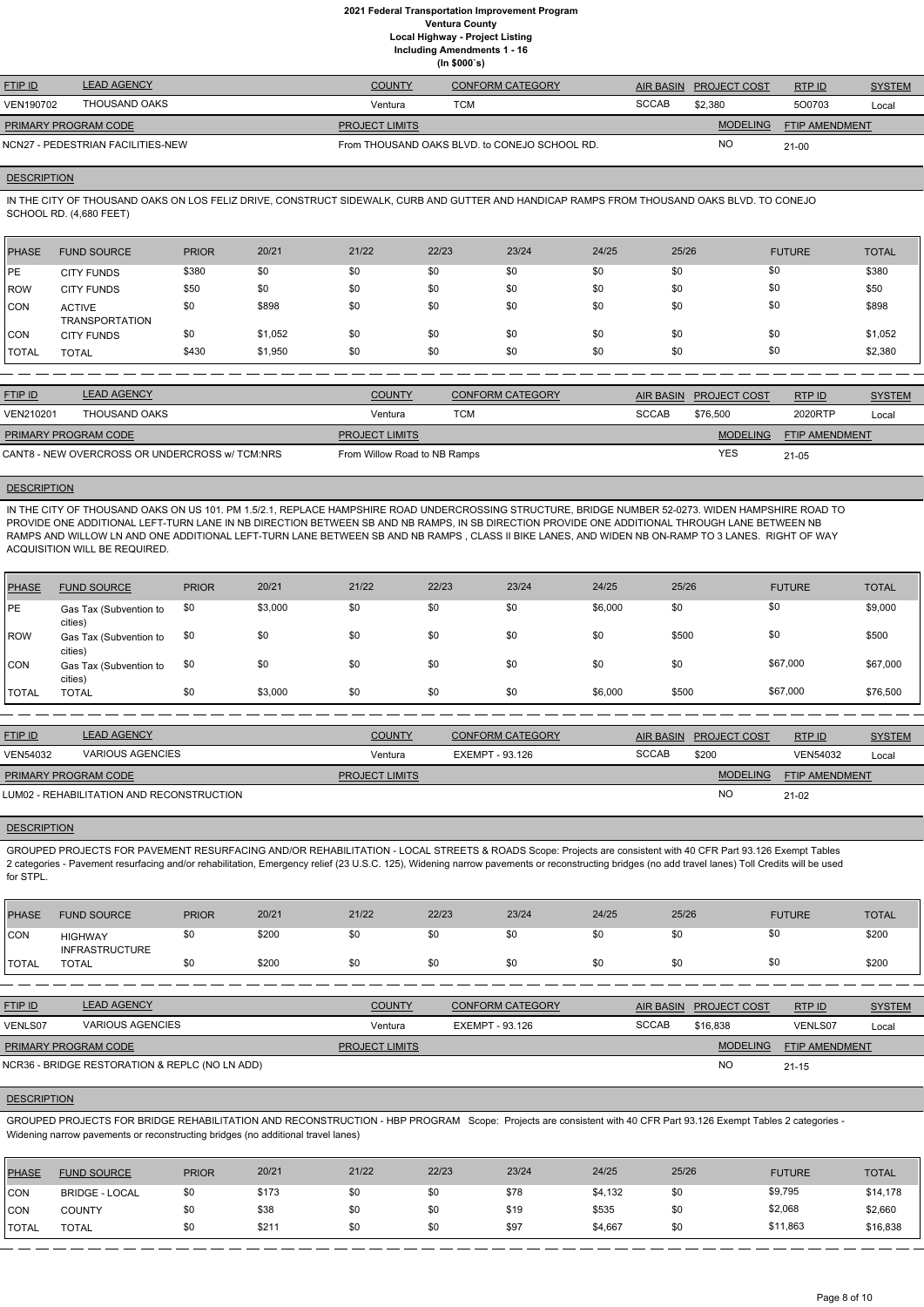| <b>FTIP ID</b>              | <b>LEAD AGENCY</b>                | <b>COUNTY</b>         | <b>CONFORM CATEGORY</b>                       |              | AIR BASIN PROJECT COST | RTPID                 | <b>SYSTEM</b> |
|-----------------------------|-----------------------------------|-----------------------|-----------------------------------------------|--------------|------------------------|-----------------------|---------------|
| VEN190702                   | THOUSAND OAKS                     | Ventura               | тсм                                           | <b>SCCAB</b> | \$2.380                | 500703                | Local         |
| <b>PRIMARY PROGRAM CODE</b> |                                   | <b>PROJECT LIMITS</b> |                                               |              | <b>MODELING</b>        | <b>FTIP AMENDMENT</b> |               |
|                             | NCN27 - PEDESTRIAN FACILITIES-NEW |                       | From THOUSAND OAKS BLVD, to CONEJO SCHOOL RD. |              | <b>NO</b>              | $21-00$               |               |

### **DESCRIPTION**

IN THE CITY OF THOUSAND OAKS ON LOS FELIZ DRIVE, CONSTRUCT SIDEWALK, CURB AND GUTTER AND HANDICAP RAMPS FROM THOUSAND OAKS BLVD. TO CONEJO SCHOOL RD. (4,680 FEET)

| <b>PHASE</b> | <b>FUND SOURCE</b>                     | <b>PRIOR</b> | 20/21   | 21/22 | 22/23 | 23/24 | 24/25 | 25/26 | <b>FUTURE</b> | <b>TOTAL</b> |
|--------------|----------------------------------------|--------------|---------|-------|-------|-------|-------|-------|---------------|--------------|
| <b>IPE</b>   | <b>CITY FUNDS</b>                      | \$380        | \$0     | \$0   | \$0   | \$0   | \$0   | \$0   | \$0           | \$380        |
| <b>IROW</b>  | <b>CITY FUNDS</b>                      | \$50         | \$0     | \$0   | \$0   | \$0   | \$0   | \$0   | \$0           | \$50         |
| CON          | <b>ACTIVE</b><br><b>TRANSPORTATION</b> | \$0          | \$898   | \$0   | \$0   | \$0   | \$0   | \$0   | \$0           | \$898        |
| CON          | <b>CITY FUNDS</b>                      | \$0          | \$1,052 | \$0   | \$0   | \$0   | \$0   | \$0   | \$0           | \$1,052      |
| <b>TOTAL</b> | <b>TOTAL</b>                           | \$430        | \$1,950 | \$0   | \$0   | \$0   | \$0   | \$0   | \$0           | \$2,380      |

| <b>FTIP ID</b>       | <b>LEAD AGENCY</b>                             | <b>COUNTY</b>                | <b>CONFORM CATEGORY</b> |              | AIR BASIN PROJECT COST | RTPID                 | <b>SYSTEM</b> |
|----------------------|------------------------------------------------|------------------------------|-------------------------|--------------|------------------------|-----------------------|---------------|
| VEN210201            | THOUSAND OAKS                                  | Ventura                      | <b>TCM</b>              | <b>SCCAB</b> | \$76,500               | 2020RTP               | Local         |
| PRIMARY PROGRAM CODE |                                                | <b>PROJECT LIMITS</b>        |                         |              | <b>MODELING</b>        | <b>FTIP AMENDMENT</b> |               |
|                      | CANT8 - NEW OVERCROSS OR UNDERCROSS w/ TCM:NRS | From Willow Road to NB Ramps |                         |              | YES                    | 21-05                 |               |

### **DESCRIPTION**

IN THE CITY OF THOUSAND OAKS ON US 101. PM 1.5/2.1, REPLACE HAMPSHIRE ROAD UNDERCROSSING STRUCTURE, BRIDGE NUMBER 52-0273. WIDEN HAMPSHIRE ROAD TO PROVIDE ONE ADDITIONAL LEFT-TURN LANE IN NB DIRECTION BETWEEN SB AND NB RAMPS, IN SB DIRECTION PROVIDE ONE ADDITIONAL THROUGH LANE BETWEEN NB RAMPS AND WILLOW LN AND ONE ADDITIONAL LEFT-TURN LANE BETWEEN SB AND NB RAMPS , CLASS II BIKE LANES, AND WIDEN NB ON-RAMP TO 3 LANES. RIGHT OF WAY ACQUISITION WILL BE REQUIRED.

| PHASE        | <b>FUND SOURCE</b>                | <b>PRIOR</b> | 20/21   | 21/22 | 22/23 | 23/24 | 24/25   | 25/26 | <b>FUTURE</b> | <b>TOTAL</b> |
|--------------|-----------------------------------|--------------|---------|-------|-------|-------|---------|-------|---------------|--------------|
| PE           | Gas Tax (Subvention to<br>cities) | \$0          | \$3,000 | \$0   | \$0   | \$0   | \$6,000 | \$0   | \$0           | \$9,000      |
| ROW          | Gas Tax (Subvention to<br>cities) | \$0          | \$0     | \$0   | \$0   | \$0   | \$0     | \$500 | \$0           | \$500        |
| ICON.        | Gas Tax (Subvention to<br>cities) | \$0          | \$0     | \$0   | \$0   | \$0   | \$0     | \$0   | \$67,000      | \$67,000     |
| <b>TOTAL</b> | <b>TOTAL</b>                      | \$0          | \$3,000 | \$0   | \$0   | \$0   | \$6,000 | \$500 | \$67,000      | \$76,500     |

| <b>FTIP ID</b>              | <b>LEAD AGENCY</b>                        | <b>COUNTY</b>         | <b>CONFORM CATEGORY</b> |       | AIR BASIN PROJECT COST | RTPID                 | <b>SYSTEM</b> |
|-----------------------------|-------------------------------------------|-----------------------|-------------------------|-------|------------------------|-----------------------|---------------|
| <b>VEN54032</b>             | <b>VARIOUS AGENCIES</b>                   | Ventura               | EXEMPT - 93.126         | SCCAB | \$200                  | <b>VEN54032</b>       | Local         |
| <b>PRIMARY PROGRAM CODE</b> |                                           | <b>PROJECT LIMITS</b> |                         |       | <b>MODELING</b>        | <b>FTIP AMENDMENT</b> |               |
|                             | LUM02 - REHABILITATION AND RECONSTRUCTION |                       |                         |       | <b>NC</b>              | $21-02$               |               |

### **DESCRIPTION**

GROUPED PROJECTS FOR PAVEMENT RESURFACING AND/OR REHABILITATION - LOCAL STREETS & ROADS Scope: Projects are consistent with 40 CFR Part 93.126 Exempt Tables 2 categories - Pavement resurfacing and/or rehabilitation, Emergency relief (23 U.S.C. 125), Widening narrow pavements or reconstructing bridges (no add travel lanes) Toll Credits will be used for STPL.

| PHASE          | <b>FUND SOURCE</b>                      | <b>PRIOR</b> | 20/21 | 21/22 | 22/23 | 23/24 | 24/25 | 25/26 | <b>FUTURE</b>      | <b>TOTAL</b> |
|----------------|-----------------------------------------|--------------|-------|-------|-------|-------|-------|-------|--------------------|--------------|
| <b>ICON</b>    | <b>HIGHWAY</b><br><b>INFRASTRUCTURE</b> |              | \$200 | \$0   | \$0   | \$0   | \$0   | \$0   | \$0                | \$200        |
| <b>I</b> TOTAL | <b>TOTAL</b>                            |              | \$200 | \$0   | \$0   | \$0   | \$0   | \$0   | $\mathbf{r}$<br>งเ | \$200        |

| <b>FTIP ID</b>              | <b>LEAD AGENCY</b>                             | <b>COUNTY</b>         | <b>CONFORM CATEGORY</b> |              | AIR BASIN PROJECT COST | RTPID                 | <b>SYSTEM</b> |
|-----------------------------|------------------------------------------------|-----------------------|-------------------------|--------------|------------------------|-----------------------|---------------|
| VENLS07                     | VARIOUS AGENCIES                               | Ventura               | EXEMPT - 93.126         | <b>SCCAB</b> | \$16,838               | VENLS07               | Local         |
| <b>PRIMARY PROGRAM CODE</b> |                                                | <b>PROJECT LIMITS</b> |                         |              | <b>MODELING</b>        | <b>FTIP AMENDMENT</b> |               |
|                             | NCR36 - BRIDGE RESTORATION & REPLC (NO LN ADD) |                       |                         |              | <b>NO</b>              | $21 - 15$             |               |

#### **DESCRIPTION**

GROUPED PROJECTS FOR BRIDGE REHABILITATION AND RECONSTRUCTION - HBP PROGRAM Scope: Projects are consistent with 40 CFR Part 93.126 Exempt Tables 2 categories - Widening narrow pavements or reconstructing bridges (no additional travel lanes)

| <b>PHASE</b>  | <b>FUND SOURCE</b>    | <b>PRIOR</b> | 20/21 | 21/22 | 22/23 | 23/24 | 24/25   | 25/26 | <b>FUTURE</b> | <b>TOTAL</b> |
|---------------|-----------------------|--------------|-------|-------|-------|-------|---------|-------|---------------|--------------|
| <b>CON</b>    | <b>BRIDGE - LOCAL</b> | \$0          | \$173 | \$0   | \$0   | \$78  | \$4,132 | \$0   | \$9,795       | \$14,178     |
| <b>CON</b>    | <b>COUNTY</b>         | \$0          | \$38  | \$0   | \$0   | \$19  | \$535   |       | \$2,068       | \$2,660      |
| <b>ITOTAL</b> | <b>TOTAL</b>          | \$0          | \$211 | \$0   | \$0   | \$97  | \$4,667 |       | \$11,863      | \$16,838     |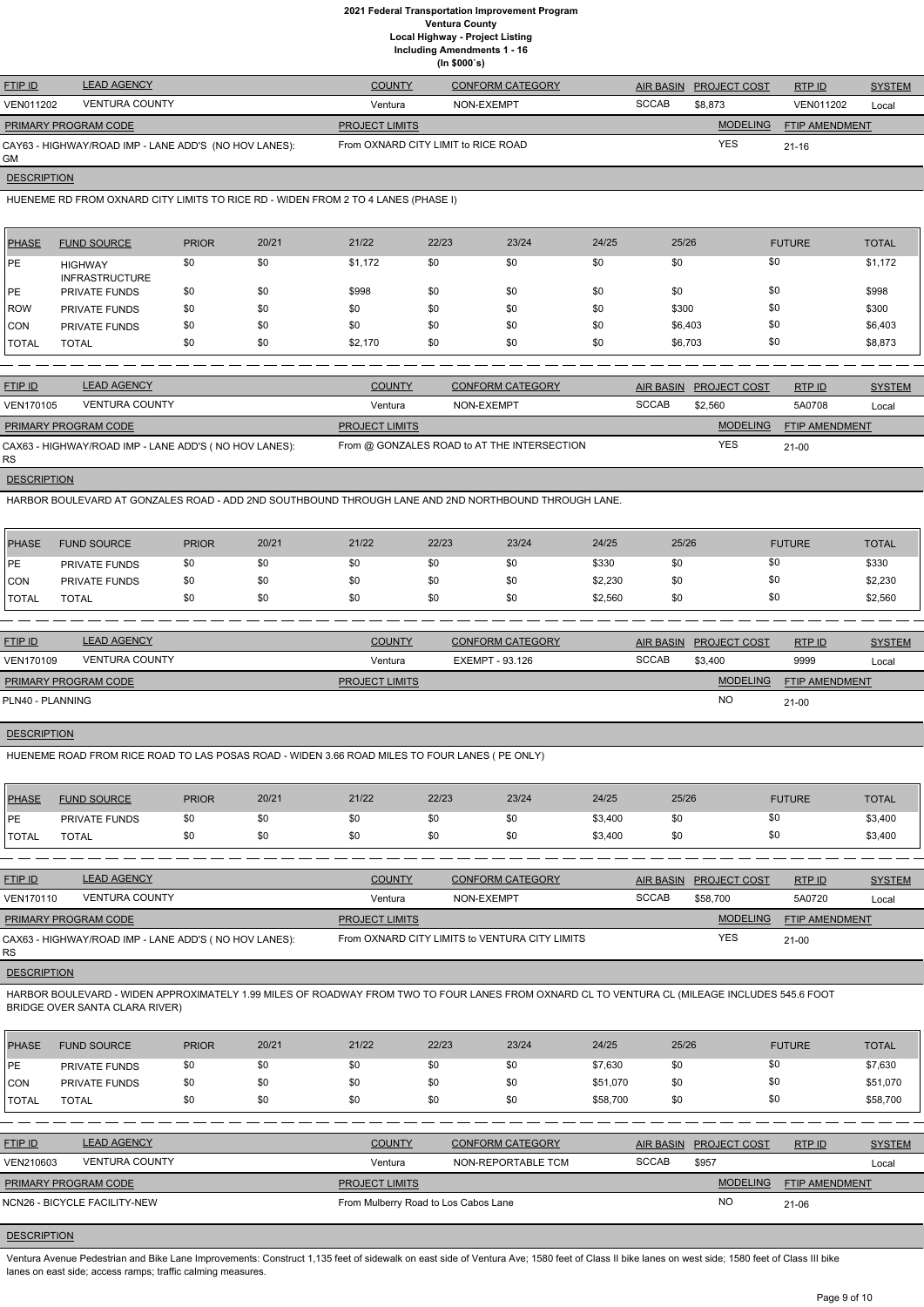|                             | (ln \$000's)                                          |                                     |                         |              |                        |                       |               |  |  |  |  |  |  |
|-----------------------------|-------------------------------------------------------|-------------------------------------|-------------------------|--------------|------------------------|-----------------------|---------------|--|--|--|--|--|--|
| <b>FTIP ID</b>              | <b>LEAD AGENCY</b>                                    | <b>COUNTY</b>                       | <b>CONFORM CATEGORY</b> |              | AIR BASIN PROJECT COST | RTP ID                | <b>SYSTEM</b> |  |  |  |  |  |  |
| VEN011202                   | <b>VENTURA COUNTY</b>                                 | Ventura                             | NON-EXEMPT              | <b>SCCAB</b> | \$8,873                | VEN011202             | Local         |  |  |  |  |  |  |
| <b>PRIMARY PROGRAM CODE</b> |                                                       | <b>PROJECT LIMITS</b>               |                         |              | <b>MODELING</b>        | <b>FTIP AMENDMENT</b> |               |  |  |  |  |  |  |
| GМ                          | CAY63 - HIGHWAY/ROAD IMP - LANE ADD'S (NO HOV LANES): | From OXNARD CITY LIMIT to RICE ROAD |                         |              | <b>YES</b>             | $21 - 16$             |               |  |  |  |  |  |  |

**DESCRIPTION** 

HUENEME RD FROM OXNARD CITY LIMITS TO RICE RD - WIDEN FROM 2 TO 4 LANES (PHASE I)

| PHASE      | <b>FUND SOURCE</b>                      | <b>PRIOR</b> | 20/21 | 21/22   | 22/23 | 23/24 | 24/25 | 25/26   | <b>FUTURE</b> | <b>TOTAL</b> |
|------------|-----------------------------------------|--------------|-------|---------|-------|-------|-------|---------|---------------|--------------|
| <b>IPE</b> | <b>HIGHWAY</b><br><b>INFRASTRUCTURE</b> | \$0          | \$0   | \$1,172 | \$0   | \$0   | \$0   | \$0     | \$0           | \$1,172      |
| IPE.       | <b>PRIVATE FUNDS</b>                    | \$0          | \$0   | \$998   | \$0   | \$0   | \$0   | \$0     | \$0           | \$998        |
| ROW        | <b>PRIVATE FUNDS</b>                    | \$0          | \$0   | \$0     | \$0   | \$0   | \$0   | \$300   | \$0           | \$300        |
| <b>CON</b> | <b>PRIVATE FUNDS</b>                    | \$0          | \$0   | \$0     | \$0   | \$0   | \$0   | \$6,403 | \$0           | \$6,403      |
| I TOTAL    | <b>TOTAL</b>                            | \$0          | \$0   | \$2,170 | \$0   | \$0   | \$0   | \$6,703 | \$0           | \$8,873      |

| <b>FTIP ID</b>              | <b>LEAD AGENCY</b>                                    | <b>COUNTY</b>         | <b>CONFORM CATEGORY</b>                     | <b>AIR BASIN</b> | <b>PROJECT COST</b> | RTPID                 | <b>SYSTEM</b> |
|-----------------------------|-------------------------------------------------------|-----------------------|---------------------------------------------|------------------|---------------------|-----------------------|---------------|
| VEN170105                   | <b>VENTURA COUNTY</b>                                 | Ventura               | NON-EXEMPT                                  | <b>SCCAB</b>     | \$2,560             | 5A0708                | Local         |
| <b>PRIMARY PROGRAM CODE</b> |                                                       | <b>PROJECT LIMITS</b> |                                             |                  | <b>MODELING</b>     | <b>FTIP AMENDMENT</b> |               |
| <b>RS</b>                   | CAX63 - HIGHWAY/ROAD IMP - LANE ADD'S (NO HOV LANES): |                       | From @ GONZALES ROAD to AT THE INTERSECTION |                  | <b>YES</b>          | $21-00$               |               |

**DESCRIPTION** 

HARBOR BOULEVARD AT GONZALES ROAD - ADD 2ND SOUTHBOUND THROUGH LANE AND 2ND NORTHBOUND THROUGH LANE.

| PHASE        | <b>FUND SOURCE</b>   | <b>PRIOR</b> | 20/21 | 21/22 | 22/23 | 23/24 | 24/25   | 25/26 | <b>FUTURE</b> | <b>TOTAL</b> |
|--------------|----------------------|--------------|-------|-------|-------|-------|---------|-------|---------------|--------------|
| PE           | <b>PRIVATE FUNDS</b> | \$0          |       | \$0   | \$0   | \$0   | \$330   | \$0   | \$0           | \$330        |
| CON          | <b>PRIVATE FUNDS</b> | \$0          | \$0   | \$0   | \$0   | \$0   | \$2,230 | \$0   | \$0           | \$2,230      |
| <b>TOTAL</b> | <b>TOTAL</b>         |              | \$0   | \$0   | \$0   | \$0   | \$2,560 | \$0   | \$0           | \$2,560      |

| <b>FTIP ID</b>              | <b>LEAD AGENCY</b>    | <b>COUNTY</b>         | <b>CONFORM CATEGORY</b> | <b>AIR BASIN</b> | <b>PROJECT COST</b> | RTPID                 | <b>SYSTEM</b> |
|-----------------------------|-----------------------|-----------------------|-------------------------|------------------|---------------------|-----------------------|---------------|
| VEN170109                   | <b>VENTURA COUNTY</b> | Ventura               | EXEMPT - 93.126         | <b>SCCAB</b>     | \$3.400             | 9999                  | Local         |
| <b>PRIMARY PROGRAM CODE</b> |                       | <b>PROJECT LIMITS</b> |                         |                  | <b>MODELING</b>     | <b>FTIP AMENDMENT</b> |               |
| PLN40 - PLANNING            |                       |                       |                         |                  | <b>NO</b>           | 21-00                 |               |

# **DESCRIPTION**

HUENEME ROAD FROM RICE ROAD TO LAS POSAS ROAD - WIDEN 3.66 ROAD MILES TO FOUR LANES ( PE ONLY)

| <b>PHASE</b> | <b>FUND SOURCE</b>   | <b>PRIOR</b> | 20/21 | 21/22 | 22/23 | 23/24 | 24/25   | 25/26 | <b>FUTURE</b> | <b>TOTAL</b> |
|--------------|----------------------|--------------|-------|-------|-------|-------|---------|-------|---------------|--------------|
| <b>DE</b>    | <b>PRIVATE FUNDS</b> | \$0          |       | \$0   |       | \$0   | \$3,400 | \$0   |               | \$3,400      |
| <b>TOTAL</b> | <b>TOTAL</b>         |              |       | \$0   |       | \$0   | \$3,400 | \$0   |               | \$3,400      |

| <b>FTIP ID</b>       | <b>LEAD AGENCY</b>                                     | <b>COUNTY</b>         | <b>CONFORM CATEGORY</b>                        | <b>AIR BASIN</b> | <b>PROJECT COST</b> | RTPID          | <b>SYSTEM</b> |
|----------------------|--------------------------------------------------------|-----------------------|------------------------------------------------|------------------|---------------------|----------------|---------------|
| <b>VEN170110</b>     | <b>VENTURA COUNTY</b>                                  | Ventura               | NON-EXEMPT                                     | <b>SCCAB</b>     | \$58,700            | 5A0720         | Local         |
| PRIMARY PROGRAM CODE |                                                        | <b>PROJECT LIMITS</b> |                                                |                  | <b>MODELING</b>     | FTIP AMENDMENT |               |
| RS                   | CAX63 - HIGHWAY/ROAD IMP - LANE ADD'S ( NO HOV LANES): |                       | From OXNARD CITY LIMITS to VENTURA CITY LIMITS |                  | <b>YES</b>          | $21 - 00$      |               |
|                      |                                                        |                       |                                                |                  |                     |                |               |

**DESCRIPTION** 

HARBOR BOULEVARD - WIDEN APPROXIMATELY 1.99 MILES OF ROADWAY FROM TWO TO FOUR LANES FROM OXNARD CL TO VENTURA CL (MILEAGE INCLUDES 545.6 FOOT BRIDGE OVER SANTA CLARA RIVER)

| <b>PHASE</b>   | <b>FUND SOURCE</b>           | <b>PRIOR</b> | 20/21 | 21/22                                | 22/23 | 23/24                   | 24/25        | 25/26            |                     | <b>FUTURE</b>         | <b>TOTAL</b>  |
|----------------|------------------------------|--------------|-------|--------------------------------------|-------|-------------------------|--------------|------------------|---------------------|-----------------------|---------------|
| PE             | PRIVATE FUNDS                | \$0          | \$0   | \$0                                  | \$0   | \$0                     | \$7,630      | \$0              |                     | \$0                   | \$7,630       |
| ICON           | PRIVATE FUNDS                | \$0          | \$0   | \$0                                  | \$0   | \$0                     | \$51,070     | \$0              |                     | \$0                   | \$51,070      |
| <b>ITOTAL</b>  | <b>TOTAL</b>                 | \$0          | \$0   | \$0                                  | \$0   | \$0                     | \$58,700     | \$0              |                     | \$0                   | \$58,700      |
|                |                              |              |       |                                      |       |                         |              |                  |                     |                       |               |
| <b>FTIP ID</b> | <b>LEAD AGENCY</b>           |              |       | <b>COUNTY</b>                        |       | <b>CONFORM CATEGORY</b> |              | <b>AIR BASIN</b> | <b>PROJECT COST</b> | RTPID                 | <b>SYSTEM</b> |
| VEN210603      | <b>VENTURA COUNTY</b>        |              |       | Ventura                              |       | NON-REPORTABLE TCM      | <b>SCCAB</b> |                  | \$957               |                       | Local         |
|                | PRIMARY PROGRAM CODE         |              |       | <b>PROJECT LIMITS</b>                |       |                         |              |                  | <b>MODELING</b>     | <b>FTIP AMENDMENT</b> |               |
|                | NCN26 - BICYCLE FACILITY-NEW |              |       | From Mulberry Road to Los Cabos Lane |       |                         |              |                  | NO                  | 21-06                 |               |

# **DESCRIPTION**

Ventura Avenue Pedestrian and Bike Lane Improvements: Construct 1,135 feet of sidewalk on east side of Ventura Ave; 1580 feet of Class II bike lanes on west side; 1580 feet of Class III bike lanes on east side; access ramps; traffic calming measures.